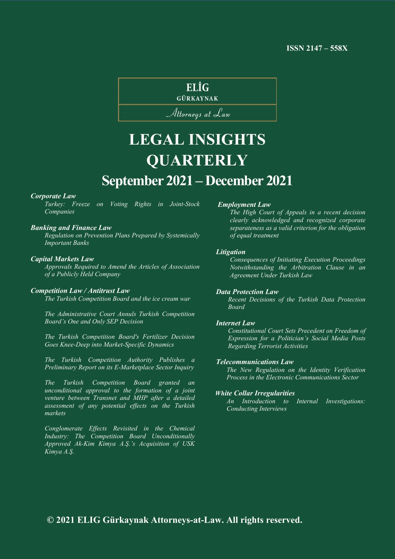## ELIG

#### GÜRKAYNAK

Attorneys at Law

## **LEGAL INSIGHTS QUARTERLY September 2021 – December 2021**

#### *Corporate Law*

*Turkey: Freeze on Voting Rights in Joint-Stock Companies* 

#### *Banking and Finance Law*

*Regulation on Prevention Plans Prepared by Systemically Important Banks*

#### *Capital Markets Law*

*Approvals Required to Amend the Articles of Association of a Publicly Held Company*

#### *Competition Law / Antitrust Law*

*The Turkish Competition Board and the ice cream war*

*The Administrative Court Annuls Turkish Competition Board's One and Only SEP Decision*

*The Turkish Competition Board's Fertilizer Decision Goes Knee-Deep into Market-Specific Dynamics*

*The Turkish Competition Authority Publishes a Preliminary Report on its E-Marketplace Sector Inquiry*

*The Turkish Competition Board granted an unconditional approval to the formation of a joint venture between Transnet and MHP after a detailed assessment of any potential effects on the Turkish markets*

*Conglomerate Effects Revisited in the Chemical Industry: The Competition Board Unconditionally Approved Ak-Kim Kimya A.Ş.'s Acquisition of USK Kimya A.Ş.*

#### *Employment Law*

*The High Court of Appeals in a recent decision clearly acknowledged and recognized corporate separateness as a valid criterion for the obligation of equal treatment* 

#### *Litigation*

*Consequences of Initiating Execution Proceedings Notwithstanding the Arbitration Clause in an Agreement Under Turkish Law*

#### *Data Protection Law*

*Recent Decisions of the Turkish Data Protection Board* 

#### *Internet Law*

*Constitutional Court Sets Precedent on Freedom of Expression for a Politician's Social Media Posts Regarding Terrorist Activities*

#### *Telecommunications Law*

*The New Regulation on the Identity Verification Process in the Electronic Communications Sector*

#### *White Collar Irregularities*

*An Introduction to Internal Investigations: Conducting Interviews*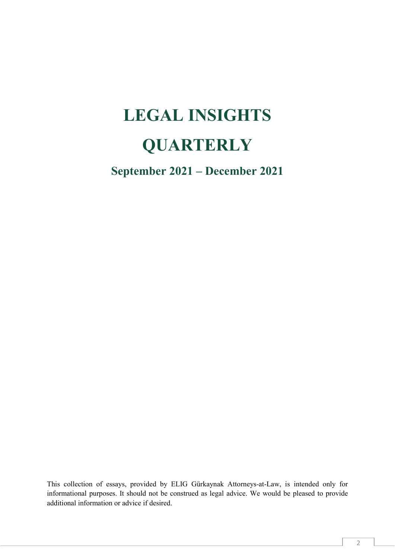# **LEGAL INSIGHTS QUARTERLY**

**September 2021 – December 2021**

This collection of essays, provided by ELIG Gürkaynak Attorneys-at-Law, is intended only for informational purposes. It should not be construed as legal advice. We would be pleased to provide additional information or advice if desired.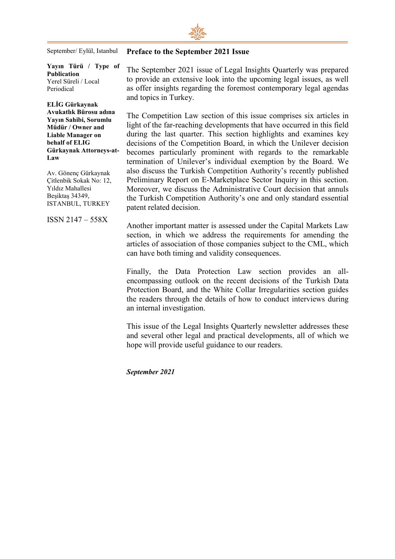

**Preface to the September 2021 Issue**

September/ Eylül, Istanbul

**Yayın Türü / Type of Publication** Yerel Süreli / Local Periodical

**ELİG Gürkaynak Avukatlık Bürosu adına Yayın Sahibi, Sorumlu Müdür / Owner and Liable Manager on behalf of ELIG Gürkaynak Attorneys-at-Law**

Av. Gönenç Gürkaynak Çitlenbik Sokak No: 12, Yıldız Mahallesi Beşiktaş 34349, ISTANBUL, TURKEY

ISSN 2147 – 558X

The September 2021 issue of Legal Insights Quarterly was prepared to provide an extensive look into the upcoming legal issues, as well as offer insights regarding the foremost contemporary legal agendas and topics in Turkey.

The Competition Law section of this issue comprises six articles in light of the far-reaching developments that have occurred in this field during the last quarter. This section highlights and examines key decisions of the Competition Board, in which the Unilever decision becomes particularly prominent with regards to the remarkable termination of Unilever's individual exemption by the Board. We also discuss the Turkish Competition Authority's recently published Preliminary Report on E-Marketplace Sector Inquiry in this section. Moreover, we discuss the Administrative Court decision that annuls the Turkish Competition Authority's one and only standard essential patent related decision.

Another important matter is assessed under the Capital Markets Law section, in which we address the requirements for amending the articles of association of those companies subject to the CML, which can have both timing and validity consequences.

Finally, the Data Protection Law section provides an allencompassing outlook on the recent decisions of the Turkish Data Protection Board, and the White Collar Irregularities section guides the readers through the details of how to conduct interviews during an internal investigation.

This issue of the Legal Insights Quarterly newsletter addresses these and several other legal and practical developments, all of which we hope will provide useful guidance to our readers.

*September 2021*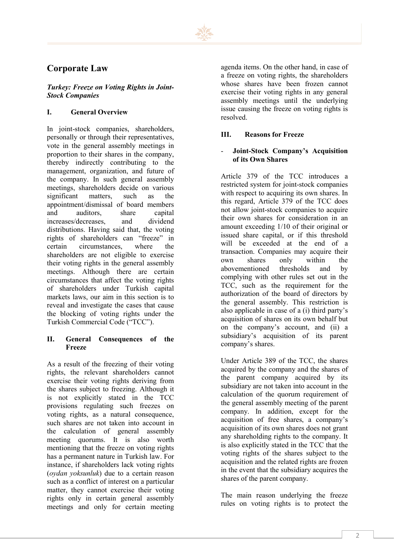

## **Corporate Law**

#### *Turkey: Freeze on Voting Rights in Joint-Stock Companies*

#### **I. General Overview**

In joint-stock companies, shareholders, personally or through their representatives, vote in the general assembly meetings in proportion to their shares in the company, thereby indirectly contributing to the management, organization, and future of the company. In such general assembly meetings, shareholders decide on various significant matters, such as the appointment/dismissal of board members and auditors, share capital increases/decreases, and dividend distributions. Having said that, the voting rights of shareholders can "freeze" in certain circumstances, where the shareholders are not eligible to exercise their voting rights in the general assembly meetings. Although there are certain circumstances that affect the voting rights of shareholders under Turkish capital markets laws, our aim in this section is to reveal and investigate the cases that cause the blocking of voting rights under the Turkish Commercial Code ("TCC").

#### **II. General Consequences of the Freeze**

As a result of the freezing of their voting rights, the relevant shareholders cannot exercise their voting rights deriving from the shares subject to freezing. Although it is not explicitly stated in the TCC provisions regulating such freezes on voting rights, as a natural consequence, such shares are not taken into account in the calculation of general assembly meeting quorums. It is also worth mentioning that the freeze on voting rights has a permanent nature in Turkish law. For instance, if shareholders lack voting rights (*oydan yoksunluk*) due to a certain reason such as a conflict of interest on a particular matter, they cannot exercise their voting rights only in certain general assembly meetings and only for certain meeting agenda items. On the other hand, in case of a freeze on voting rights, the shareholders whose shares have been frozen cannot exercise their voting rights in any general assembly meetings until the underlying issue causing the freeze on voting rights is resolved.

#### **III. Reasons for Freeze**

#### - **Joint-Stock Company's Acquisition of its Own Shares**

Article 379 of the TCC introduces a restricted system for joint-stock companies with respect to acquiring its own shares. In this regard, Article 379 of the TCC does not allow joint-stock companies to acquire their own shares for consideration in an amount exceeding 1/10 of their original or issued share capital, or if this threshold will be exceeded at the end of a transaction. Companies may acquire their own shares only within the abovementioned thresholds and by complying with other rules set out in the TCC, such as the requirement for the authorization of the board of directors by the general assembly. This restriction is also applicable in case of a (i) third party's acquisition of shares on its own behalf but on the company's account, and (ii) a subsidiary's acquisition of its parent company's shares.

Under Article 389 of the TCC, the shares acquired by the company and the shares of the parent company acquired by its subsidiary are not taken into account in the calculation of the quorum requirement of the general assembly meeting of the parent company. In addition, except for the acquisition of free shares, a company's acquisition of its own shares does not grant any shareholding rights to the company. It is also explicitly stated in the TCC that the voting rights of the shares subject to the acquisition and the related rights are frozen in the event that the subsidiary acquires the shares of the parent company.

The main reason underlying the freeze rules on voting rights is to protect the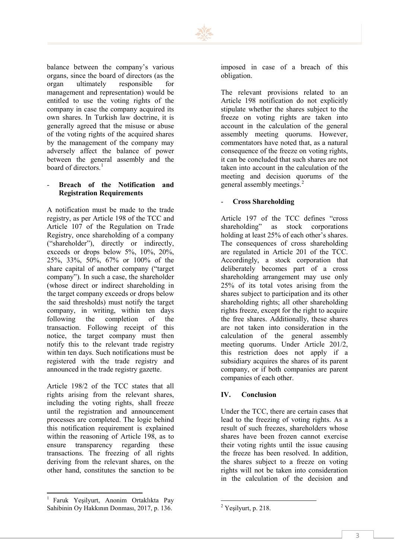

balance between the company's various organs, since the board of directors (as the organ ultimately responsible for management and representation) would be entitled to use the voting rights of the company in case the company acquired its own shares. In Turkish law doctrine, it is generally agreed that the misuse or abuse of the voting rights of the acquired shares by the management of the company may adversely affect the balance of power between the general assembly and the board of directors.<sup>[1](#page-4-0)</sup>

#### - **Breach of the Notification and Registration Requirements**

A notification must be made to the trade registry, as per Article 198 of the TCC and Article 107 of the Regulation on Trade Registry, once shareholding of a company ("shareholder"), directly or indirectly, exceeds or drops below 5%, 10%, 20%, 25%, 33%, 50%, 67% or 100% of the share capital of another company ("target company"). In such a case, the shareholder (whose direct or indirect shareholding in the target company exceeds or drops below the said thresholds) must notify the target company, in writing, within ten days following the completion of the transaction. Following receipt of this notice, the target company must then notify this to the relevant trade registry within ten days. Such notifications must be registered with the trade registry and announced in the trade registry gazette.

Article 198/2 of the TCC states that all rights arising from the relevant shares, including the voting rights, shall freeze until the registration and announcement processes are completed. The logic behind this notification requirement is explained within the reasoning of Article 198, as to ensure transparency regarding these transactions. The freezing of all rights deriving from the relevant shares, on the other hand, constitutes the sanction to be

imposed in case of a breach of this obligation.

The relevant provisions related to an Article 198 notification do not explicitly stipulate whether the shares subject to the freeze on voting rights are taken into account in the calculation of the general assembly meeting quorums. However, commentators have noted that, as a natural consequence of the freeze on voting rights, it can be concluded that such shares are not taken into account in the calculation of the meeting and decision quorums of the general assembly meetings.<sup>[2](#page-4-1)</sup>

#### - **Cross Shareholding**

Article 197 of the TCC defines "cross shareholding" as stock corporations holding at least 25% of each other's shares. The consequences of cross shareholding are regulated in Article 201 of the TCC. Accordingly, a stock corporation that deliberately becomes part of a cross shareholding arrangement may use only 25% of its total votes arising from the shares subject to participation and its other shareholding rights; all other shareholding rights freeze, except for the right to acquire the free shares. Additionally, these shares are not taken into consideration in the calculation of the general assembly meeting quorums. Under Article 201/2, this restriction does not apply if a subsidiary acquires the shares of its parent company, or if both companies are parent companies of each other.

#### **IV. Conclusion**

Under the TCC, there are certain cases that lead to the freezing of voting rights. As a result of such freezes, shareholders whose shares have been frozen cannot exercise their voting rights until the issue causing the freeze has been resolved. In addition, the shares subject to a freeze on voting rights will not be taken into consideration in the calculation of the decision and

<span id="page-4-1"></span><span id="page-4-0"></span><sup>1</sup> Faruk Yeşilyurt, Anonim Ortaklıkta Pay Sahibinin Oy Hakkının Donması, 2017, p. 136.

<sup>2</sup> Yeşilyurt, p. 218.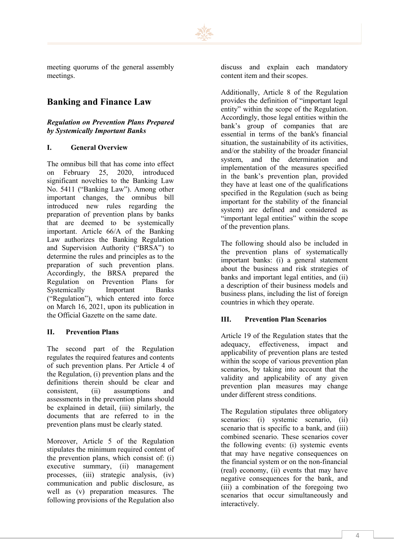

meeting quorums of the general assembly meetings.

## **Banking and Finance Law**

#### *Regulation on Prevention Plans Prepared by Systemically Important Banks*

#### **I. General Overview**

The omnibus bill that has come into effect on February 25, 2020, introduced significant novelties to the Banking Law No. 5411 ("Banking Law"). Among other important changes, the omnibus bill introduced new rules regarding the preparation of prevention plans by banks that are deemed to be systemically important. Article 66/A of the Banking Law authorizes the Banking Regulation and Supervision Authority ("BRSA") to determine the rules and principles as to the preparation of such prevention plans. Accordingly, the BRSA prepared the Regulation on Prevention Plans for Systemically Important Banks ("Regulation"), which entered into force on March 16, 2021, upon its publication in the Official Gazette on the same date.

#### **II. Prevention Plans**

The second part of the Regulation regulates the required features and contents of such prevention plans. Per Article 4 of the Regulation, (i) prevention plans and the definitions therein should be clear and consistent, (ii) assumptions and assessments in the prevention plans should be explained in detail, (iii) similarly, the documents that are referred to in the prevention plans must be clearly stated.

Moreover, Article 5 of the Regulation stipulates the minimum required content of the prevention plans, which consist of: (i) executive summary, (ii) management processes, (iii) strategic analysis, (iv) communication and public disclosure, as well as (v) preparation measures. The following provisions of the Regulation also discuss and explain each mandatory content item and their scopes.

Additionally, Article 8 of the Regulation provides the definition of "important legal entity" within the scope of the Regulation. Accordingly, those legal entities within the bank's group of companies that are essential in terms of the bank's financial situation, the sustainability of its activities, and/or the stability of the broader financial system, and the determination and implementation of the measures specified in the bank's prevention plan, provided they have at least one of the qualifications specified in the Regulation (such as being important for the stability of the financial system) are defined and considered as "important legal entities" within the scope of the prevention plans.

The following should also be included in the prevention plans of systematically important banks: (i) a general statement about the business and risk strategies of banks and important legal entities, and (ii) a description of their business models and business plans, including the list of foreign countries in which they operate.

#### **III. Prevention Plan Scenarios**

Article 19 of the Regulation states that the adequacy, effectiveness, impact and applicability of prevention plans are tested within the scope of various prevention plan scenarios, by taking into account that the validity and applicability of any given prevention plan measures may change under different stress conditions.

The Regulation stipulates three obligatory scenarios: (i) systemic scenario, (ii) scenario that is specific to a bank, and (iii) combined scenario. These scenarios cover the following events: (i) systemic events that may have negative consequences on the financial system or on the non-financial (real) economy, (ii) events that may have negative consequences for the bank, and (iii) a combination of the foregoing two scenarios that occur simultaneously and interactively.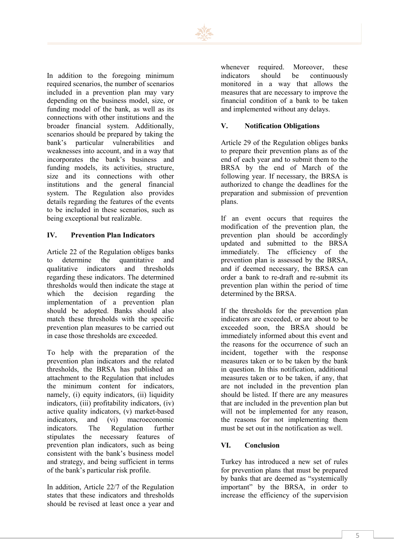

In addition to the foregoing minimum required scenarios, the number of scenarios included in a prevention plan may vary depending on the business model, size, or funding model of the bank, as well as its connections with other institutions and the broader financial system. Additionally, scenarios should be prepared by taking the bank's particular vulnerabilities and weaknesses into account, and in a way that incorporates the bank's business and funding models, its activities, structure, size and its connections with other institutions and the general financial system. The Regulation also provides details regarding the features of the events to be included in these scenarios, such as being exceptional but realizable.

#### **IV. Prevention Plan Indicators**

Article 22 of the Regulation obliges banks to determine the quantitative and qualitative indicators and thresholds regarding these indicators. The determined thresholds would then indicate the stage at which the decision regarding the implementation of a prevention plan should be adopted. Banks should also match these thresholds with the specific prevention plan measures to be carried out in case those thresholds are exceeded.

To help with the preparation of the prevention plan indicators and the related thresholds, the BRSA has published an attachment to the Regulation that includes the minimum content for indicators, namely, (i) equity indicators, (ii) liquidity indicators, (iii) profitability indicators, (iv) active quality indicators, (v) market-based indicators, and (vi) macroeconomic indicators. The Regulation further stipulates the necessary features of prevention plan indicators, such as being consistent with the bank's business model and strategy, and being sufficient in terms of the bank's particular risk profile.

In addition, Article 22/7 of the Regulation states that these indicators and thresholds should be revised at least once a year and whenever required. Moreover, these indicators should be continuously monitored in a way that allows the measures that are necessary to improve the financial condition of a bank to be taken and implemented without any delays.

#### **V. Notification Obligations**

Article 29 of the Regulation obliges banks to prepare their prevention plans as of the end of each year and to submit them to the BRSA by the end of March of the following year. If necessary, the BRSA is authorized to change the deadlines for the preparation and submission of prevention plans.

If an event occurs that requires the modification of the prevention plan, the prevention plan should be accordingly updated and submitted to the BRSA immediately. The efficiency of the prevention plan is assessed by the BRSA, and if deemed necessary, the BRSA can order a bank to re-draft and re-submit its prevention plan within the period of time determined by the BRSA.

If the thresholds for the prevention plan indicators are exceeded, or are about to be exceeded soon, the BRSA should be immediately informed about this event and the reasons for the occurrence of such an incident, together with the response measures taken or to be taken by the bank in question. In this notification, additional measures taken or to be taken, if any, that are not included in the prevention plan should be listed. If there are any measures that are included in the prevention plan but will not be implemented for any reason, the reasons for not implementing them must be set out in the notification as well.

#### **VI. Conclusion**

Turkey has introduced a new set of rules for prevention plans that must be prepared by banks that are deemed as "systemically important" by the BRSA, in order to increase the efficiency of the supervision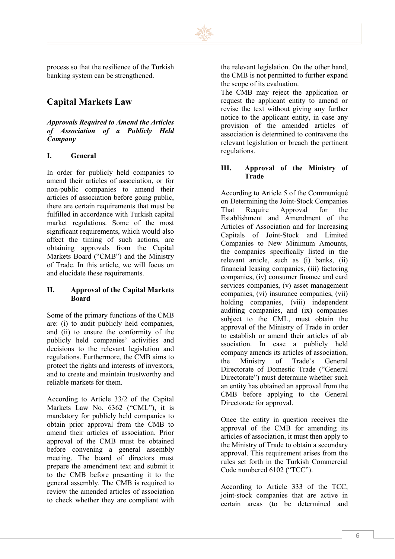

process so that the resilience of the Turkish banking system can be strengthened.

## **Capital Markets Law**

*Approvals Required to Amend the Articles of Association of a Publicly Held Company*

#### **I. General**

In order for publicly held companies to amend their articles of association, or for non-public companies to amend their articles of association before going public, there are certain requirements that must be fulfilled in accordance with Turkish capital market regulations. Some of the most significant requirements, which would also affect the timing of such actions, are obtaining approvals from the Capital Markets Board ("CMB") and the Ministry of Trade. In this article, we will focus on and elucidate these requirements.

#### **II. Approval of the Capital Markets Board**

Some of the primary functions of the CMB are: (i) to audit publicly held companies, and (ii) to ensure the conformity of the publicly held companies' activities and decisions to the relevant legislation and regulations. Furthermore, the CMB aims to protect the rights and interests of investors, and to create and maintain trustworthy and reliable markets for them.

According to Article 33/2 of the Capital Markets Law No. 6362 ("CML"), it is mandatory for publicly held companies to obtain prior approval from the CMB to amend their articles of association. Prior approval of the CMB must be obtained before convening a general assembly meeting. The board of directors must prepare the amendment text and submit it to the CMB before presenting it to the general assembly. The CMB is required to review the amended articles of association to check whether they are compliant with

the relevant legislation. On the other hand, the CMB is not permitted to further expand the scope of its evaluation.

The CMB may reject the application or request the applicant entity to amend or revise the text without giving any further notice to the applicant entity, in case any provision of the amended articles of association is determined to contravene the relevant legislation or breach the pertinent regulations.

#### **III. Approval of the Ministry of Trade**

According to Article 5 of the Communiqué on Determining the Joint-Stock Companies That Require Approval for the Establishment and Amendment of the Articles of Association and for Increasing Capitals of Joint-Stock and Limited Companies to New Minimum Amounts, the companies specifically listed in the relevant article, such as (i) banks, (ii) financial leasing companies, (iii) factoring companies, (iv) consumer finance and card services companies, (v) asset management companies, (vi) insurance companies, (vii) holding companies, (viii) independent auditing companies, and (ix) companies subject to the CML, must obtain the approval of the Ministry of Trade in order to establish or amend their articles of ab ssociation. In case a publicly held company amends its articles of association, the Ministry of Trade`s General Directorate of Domestic Trade ("General Directorate") must determine whether such an entity has obtained an approval from the CMB before applying to the General Directorate for approval.

Once the entity in question receives the approval of the CMB for amending its articles of association, it must then apply to the Ministry of Trade to obtain a secondary approval. This requirement arises from the rules set forth in the Turkish Commercial Code numbered 6102 ("TCC").

According to Article 333 of the TCC, joint-stock companies that are active in certain areas (to be determined and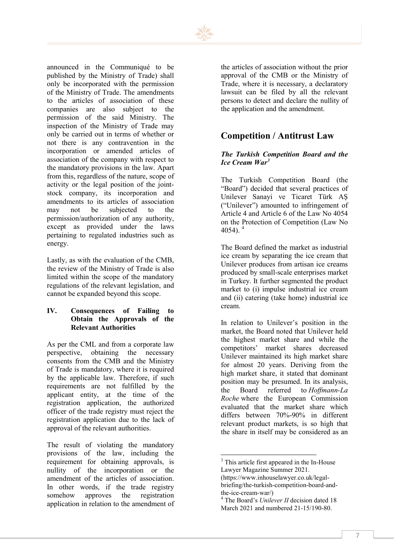

announced in the Communiqué to be published by the Ministry of Trade) shall only be incorporated with the permission of the Ministry of Trade. The amendments to the articles of association of these companies are also subject to the permission of the said Ministry. The inspection of the Ministry of Trade may only be carried out in terms of whether or not there is any contravention in the incorporation or amended articles of association of the company with respect to the mandatory provisions in the law. Apart from this, regardless of the nature, scope of activity or the legal position of the jointstock company, its incorporation and amendments to its articles of association may not be subjected to the permission/authorization of any authority, except as provided under the laws pertaining to regulated industries such as energy.

Lastly, as with the evaluation of the CMB, the review of the Ministry of Trade is also limited within the scope of the mandatory regulations of the relevant legislation, and cannot be expanded beyond this scope.

#### **IV. Consequences of Failing to Obtain the Approvals of the Relevant Authorities**

As per the CML and from a corporate law perspective, obtaining the necessary consents from the CMB and the Ministry of Trade is mandatory, where it is required by the applicable law. Therefore, if such requirements are not fulfilled by the applicant entity, at the time of the registration application, the authorized officer of the trade registry must reject the registration application due to the lack of approval of the relevant authorities.

<span id="page-8-1"></span><span id="page-8-0"></span>The result of violating the mandatory provisions of the law, including the requirement for obtaining approvals, is nullity of the incorporation or the amendment of the articles of association. In other words, if the trade registry somehow approves the registration application in relation to the amendment of the articles of association without the prior approval of the CMB or the Ministry of Trade, where it is necessary, a declaratory lawsuit can be filed by all the relevant persons to detect and declare the nullity of the application and the amendment.

## **Competition / Antitrust Law**

#### *The Turkish Competition Board and the Ice Cream War[3](#page-8-0)*

The Turkish Competition Board (the "Board") decided that several practices of Unilever Sanayi ve Ticaret Türk AŞ ("Unilever") amounted to infringement of Article 4 and Article 6 of the Law No 4054 on the Protection of Competition (Law No [4](#page-8-1)054).  $4$ 

The Board defined the market as industrial ice cream by separating the ice cream that Unilever produces from artisan ice creams produced by small-scale enterprises market in Turkey. It further segmented the product market to (i) impulse industrial ice cream and (ii) catering (take home) industrial ice cream.

In relation to Unilever's position in the market, the Board noted that Unilever held the highest market share and while the competitors' market shares decreased Unilever maintained its high market share for almost 20 years. Deriving from the high market share, it stated that dominant position may be presumed. In its analysis, the Board referred to *Hoffmann-La Roche* where the European Commission evaluated that the market share which differs between 70%-90% in different relevant product markets, is so high that the share in itself may be considered as an

<sup>&</sup>lt;sup>3</sup> This article first appeared in the In-House Lawyer Magazine Summer 2021.

<sup>(</sup>https://www.inhouselawyer.co.uk/legalbriefing/the-turkish-competition-board-and-<br>the-ice-cream-war/)

<sup>&</sup>lt;sup>4</sup> The Board's *Unilever II* decision dated 18 March 2021 and numbered 21-15/190-80.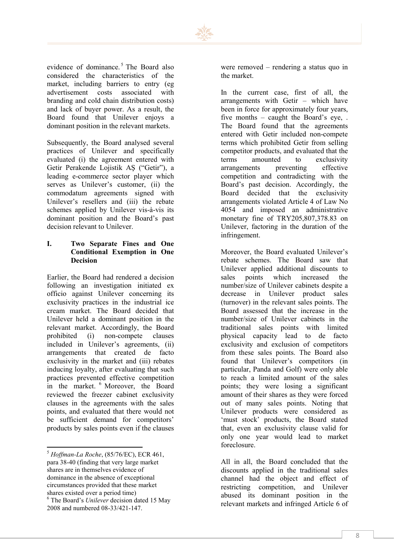

evidence of dominance. [5](#page-9-0) The Board also considered the characteristics of the market, including barriers to entry (eg advertisement costs associated with branding and cold chain distribution costs) and lack of buyer power. As a result, the Board found that Unilever enjoys a dominant position in the relevant markets.

Subsequently, the Board analysed several practices of Unilever and specifically evaluated (i) the agreement entered with Getir Perakende Lojistik AŞ ("Getir"), a leading e-commerce sector player which serves as Unilever's customer, (ii) the commodatum agreements signed with Unilever's resellers and (iii) the rebate schemes applied by Unilever vis-à-vis its dominant position and the Board's past decision relevant to Unilever.

#### **I. Two Separate Fines and One Conditional Exemption in One Decision**

Earlier, the Board had rendered a decision following an investigation initiated ex officio against Unilever concerning its exclusivity practices in the industrial ice cream market. The Board decided that Unilever held a dominant position in the relevant market. Accordingly, the Board prohibited (i) non-compete clauses included in Unilever's agreements, (ii) arrangements that created de facto exclusivity in the market and (iii) rebates inducing loyalty, after evaluating that such practices prevented effective competition in the market. [6](#page-9-1) Moreover, the Board reviewed the freezer cabinet exclusivity clauses in the agreements with the sales points, and evaluated that there would not be sufficient demand for competitors' products by sales points even if the clauses were removed – rendering a status quo in the market.

In the current case, first of all, the arrangements with Getir – which have been in force for approximately four years, five months – caught the Board's eye, . The Board found that the agreements entered with Getir included non-compete terms which prohibited Getir from selling competitor products, and evaluated that the terms amounted to exclusivity arrangements preventing effective competition and contradicting with the Board's past decision. Accordingly, the Board decided that the exclusivity arrangements violated Article 4 of Law No 4054 and imposed an administrative monetary fine of TRY205,807,378.83 on Unilever, factoring in the duration of the infringement.

Moreover, the Board evaluated Unilever's rebate schemes. The Board saw that Unilever applied additional discounts to sales points which increased the number/size of Unilever cabinets despite a decrease in Unilever product sales (turnover) in the relevant sales points. The Board assessed that the increase in the number/size of Unilever cabinets in the traditional sales points with limited physical capacity lead to de facto exclusivity and exclusion of competitors from these sales points. The Board also found that Unilever's competitors (in particular, Panda and Golf) were only able to reach a limited amount of the sales points; they were losing a significant amount of their shares as they were forced out of many sales points. Noting that Unilever products were considered as 'must stock' products, the Board stated that, even an exclusivity clause valid for only one year would lead to market foreclosure.

All in all, the Board concluded that the discounts applied in the traditional sales channel had the object and effect of restricting competition, and Unilever abused its dominant position in the relevant markets and infringed Article 6 of

<span id="page-9-1"></span><span id="page-9-0"></span><sup>5</sup> *Hoffman-La Roche*, (85/76/EC), ECR 461, para 38-40 (finding that very large market shares are in themselves evidence of dominance in the absence of exceptional circumstances provided that these market shares existed over a period time) <sup>6</sup> The Board's *Unilever* decision dated 15 May 2008 and numbered 08-33/421-147.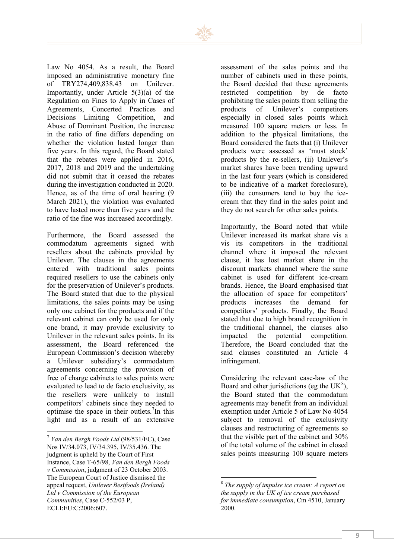

Law No 4054. As a result, the Board imposed an administrative monetary fine of TRY274,409,838.43 on Unilever. Importantly, under Article 5(3)(a) of the Regulation on Fines to Apply in Cases of Agreements, Concerted Practices and Decisions Limiting Competition, and Abuse of Dominant Position, the increase in the ratio of fine differs depending on whether the violation lasted longer than five years. In this regard, the Board stated that the rebates were applied in 2016, 2017, 2018 and 2019 and the undertaking did not submit that it ceased the rebates during the investigation conducted in 2020. Hence, as of the time of oral hearing (9 March 2021), the violation was evaluated to have lasted more than five years and the ratio of the fine was increased accordingly.

Furthermore, the Board assessed the commodatum agreements signed with resellers about the cabinets provided by Unilever. The clauses in the agreements entered with traditional sales points required resellers to use the cabinets only for the preservation of Unilever's products. The Board stated that due to the physical limitations, the sales points may be using only one cabinet for the products and if the relevant cabinet can only be used for only one brand, it may provide exclusivity to Unilever in the relevant sales points. In its assessment, the Board referenced the European Commission's decision whereby a Unilever subsidiary's commodatum agreements concerning the provision of free of charge cabinets to sales points were evaluated to lead to de facto exclusivity, as the resellers were unlikely to install competitors' cabinets since they needed to optimise the space in their outlets.<sup>[7](#page-10-0)</sup>In this light and as a result of an extensive

assessment of the sales points and the number of cabinets used in these points, the Board decided that these agreements restricted competition by de facto prohibiting the sales points from selling the products of Unilever's competitors especially in closed sales points which measured 100 square meters or less. In addition to the physical limitations, the Board considered the facts that (i) Unilever products were assessed as 'must stock' products by the re-sellers, (ii) Unilever's market shares have been trending upward in the last four years (which is considered to be indicative of a market foreclosure), (iii) the consumers tend to buy the icecream that they find in the sales point and they do not search for other sales points.

Importantly, the Board noted that while Unilever increased its market share vis a vis its competitors in the traditional channel where it imposed the relevant clause, it has lost market share in the discount markets channel where the same cabinet is used for different ice-cream brands. Hence, the Board emphasised that the allocation of space for competitors' products increases the demand for competitors' products. Finally, the Board stated that due to high brand recognition in the traditional channel, the clauses also impacted the potential competition. Therefore, the Board concluded that the said clauses constituted an Article 4 infringement.

Considering the relevant case-law of the Board and other jurisdictions (eg the UK $^{8}$  $^{8}$  $^{8}$ ), the Board stated that the commodatum agreements may benefit from an individual exemption under Article 5 of Law No 4054 subject to removal of the exclusivity clauses and restructuring of agreements so that the visible part of the cabinet and 30% of the total volume of the cabinet in closed sales points measuring 100 square meters

<span id="page-10-1"></span><span id="page-10-0"></span><sup>7</sup> *Van den Bergh Foods Ltd* (98/531/EC), Case Nos IV/34.073, IV/34.395, IV/35.436. The judgment is upheld by the Court of First Instance, Case T-65/98, *Van den Bergh Foods v Commission*, judgment of 23 October 2003. The European Court of Justice dismissed the appeal request, *Unilever Bestfoods (Ireland) Ltd v Commission of the European Communities*, Case C-552/03 P, ECLI:EU:C:2006:607.

<sup>8</sup> *The supply of impulse ice cream: A report on the supply in the UK of ice cream purchased for immediate consumption*, Cm 4510, January 2000.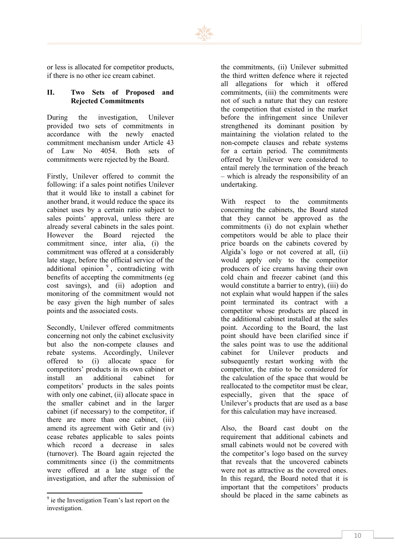

or less is allocated for competitor products, if there is no other ice cream cabinet.

#### **II. Two Sets of Proposed and Rejected Commitments**

During the investigation, Unilever provided two sets of commitments in accordance with the newly enacted commitment mechanism under Article 43 of Law No 4054. Both sets of commitments were rejected by the Board.

Firstly, Unilever offered to commit the following: if a sales point notifies Unilever that it would like to install a cabinet for another brand, it would reduce the space its cabinet uses by a certain ratio subject to sales points' approval, unless there are already several cabinets in the sales point. However the Board rejected the commitment since, inter alia, (i) the commitment was offered at a considerably late stage, before the official service of the additional opinion<sup>[9](#page-11-0)</sup>, contradicting with benefits of accepting the commitments (eg cost savings), and (ii) adoption and monitoring of the commitment would not be easy given the high number of sales points and the associated costs.

Secondly, Unilever offered commitments concerning not only the cabinet exclusivity but also the non-compete clauses and rebate systems. Accordingly, Unilever offered to (i) allocate space for competitors' products in its own cabinet or install an additional cabinet for competitors' products in the sales points with only one cabinet, (ii) allocate space in the smaller cabinet and in the larger cabinet (if necessary) to the competitor, if there are more than one cabinet, (iii) amend its agreement with Getir and (iv) cease rebates applicable to sales points which record a decrease in sales (turnover). The Board again rejected the commitments since (i) the commitments were offered at a late stage of the investigation, and after the submission of

the commitments, (ii) Unilever submitted the third written defence where it rejected all allegations for which it offered commitments, (iii) the commitments were not of such a nature that they can restore the competition that existed in the market before the infringement since Unilever strengthened its dominant position by maintaining the violation related to the non-compete clauses and rebate systems for a certain period. The commitments offered by Unilever were considered to entail merely the termination of the breach – which is already the responsibility of an undertaking.

With respect to the commitments concerning the cabinets, the Board stated that they cannot be approved as the commitments (i) do not explain whether competitors would be able to place their price boards on the cabinets covered by Algida's logo or not covered at all, (ii) would apply only to the competitor producers of ice creams having their own cold chain and freezer cabinet (and this would constitute a barrier to entry), (iii) do not explain what would happen if the sales point terminated its contract with a competitor whose products are placed in the additional cabinet installed at the sales point. According to the Board, the last point should have been clarified since if the sales point was to use the additional cabinet for Unilever products and subsequently restart working with the competitor, the ratio to be considered for the calculation of the space that would be reallocated to the competitor must be clear, especially, given that the space of Unilever's products that are used as a base for this calculation may have increased.

Also, the Board cast doubt on the requirement that additional cabinets and small cabinets would not be covered with the competitor's logo based on the survey that reveals that the uncovered cabinets were not as attractive as the covered ones. In this regard, the Board noted that it is important that the competitors' products should be placed in the same cabinets as

<span id="page-11-0"></span><sup>&</sup>lt;sup>9</sup> ie the Investigation Team's last report on the investigation.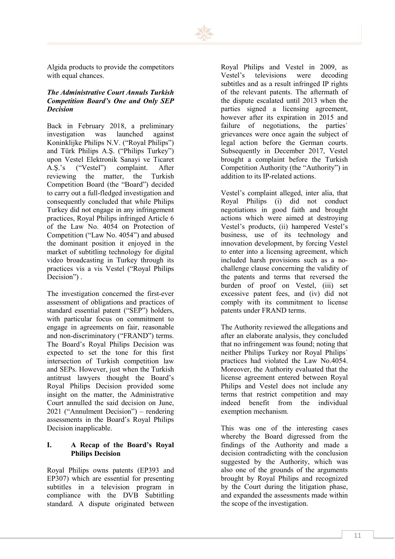

Algida products to provide the competitors with equal chances.

#### *The Administrative Court Annuls Turkish Competition Board's One and Only SEP Decision*

Back in February 2018, a preliminary investigation was launched against Koninklijke Philips N.V. ("Royal Philips") and Türk Philips A.Ş. ("Philips Turkey") upon Vestel Elektronik Sanayi ve Ticaret A.Ş.'s ("Vestel") complaint. After reviewing the matter, the Turkish Competition Board (the "Board") decided to carry out a full-fledged investigation and consequently concluded that while Philips Turkey did not engage in any infringement practices, Royal Philips infringed Article 6 of the Law No. 4054 on Protection of Competition ("Law No. 4054") and abused the dominant position it enjoyed in the market of subtitling technology for digital video broadcasting in Turkey through its practices vis a vis Vestel ("Royal Philips Decision").

The investigation concerned the first-ever assessment of obligations and practices of standard essential patent ("SEP") holders, with particular focus on commitment to engage in agreements on fair, reasonable and non-discriminatory ("FRAND") terms. The Board's Royal Philips Decision was expected to set the tone for this first intersection of Turkish competition law and SEPs. However, just when the Turkish antitrust lawyers thought the Board's Royal Philips Decision provided some insight on the matter, the Administrative Court annulled the said decision on June, 2021 ("Annulment Decision") – rendering assessments in the Board's Royal Philips Decision inapplicable.

#### **I. A Recap of the Board's Royal Philips Decision**

Royal Philips owns patents (EP393 and EP307) which are essential for presenting subtitles in a television program in compliance with the DVB Subtitling standard. A dispute originated between Royal Philips and Vestel in 2009, as Vestel's televisions were decoding subtitles and as a result infringed IP rights of the relevant patents. The aftermath of the dispute escalated until 2013 when the parties signed a licensing agreement, however after its expiration in 2015 and failure of negotiations, the parties` grievances were once again the subject of legal action before the German courts. Subsequently in December 2017, Vestel brought a complaint before the Turkish Competition Authority (the "Authority") in addition to its IP-related actions.

Vestel's complaint alleged, inter alia, that Royal Philips (i) did not conduct negotiations in good faith and brought actions which were aimed at destroying Vestel's products, (ii) hampered Vestel's business, use of its technology and innovation development, by forcing Vestel to enter into a licensing agreement, which included harsh provisions such as a nochallenge clause concerning the validity of the patents and terms that reversed the burden of proof on Vestel, (iii) set excessive patent fees, and (iv) did not comply with its commitment to license patents under FRAND terms.

The Authority reviewed the allegations and after an elaborate analysis, they concluded that no infringement was found; noting that neither Philips Turkey nor Royal Philips` practices had violated the Law No.4054. Moreover, the Authority evaluated that the license agreement entered between Royal Philips and Vestel does not include any terms that restrict competition and may indeed benefit from the individual exemption mechanism.

This was one of the interesting cases whereby the Board digressed from the findings of the Authority and made a decision contradicting with the conclusion suggested by the Authority, which was also one of the grounds of the arguments brought by Royal Philips and recognized by the Court during the litigation phase, and expanded the assessments made within the scope of the investigation.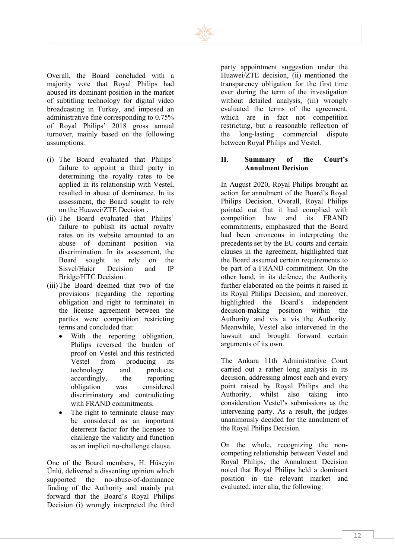

Overall, the Board concluded with a majority vote that Royal Philips had abused its dominant position in the market of subtitling technology for digital video broadcasting in Turkey, and imposed an administrative fine corresponding to 0.75% of Royal Philips' 2018 gross annual turnover, mainly based on the following assumptions:

- (i) The Board evaluated that Philips` failure to appoint a third party in determining the royalty rates to be applied in its relationship with Vestel, resulted in abuse of dominance. In its assessment, the Board sought to rely on the Huawei/ZTE Decision .
- (ii) The Board evaluated that Philips` failure to publish its actual royalty rates on its website amounted to an abuse of dominant position via discrimination. In its assessment, the Board sought to rely on the Sisvel/Haier Decision and IP Bridge/HTC Decision .
- (iii)The Board deemed that two of the provisions (regarding the reporting obligation and right to terminate) in the license agreement between the parties were competition restricting terms and concluded that:
	- With the reporting obligation, Philips reversed the burden of proof on Vestel and this restricted Vestel from producing its technology and products; accordingly, the reporting obligation was considered discriminatory and contradicting with FRAND commitments.
	- The right to terminate clause may be considered as an important deterrent factor for the licensee to challenge the validity and function as an implicit no-challenge clause.

One of the Board members, H. Hüseyin Ünlü, delivered a dissenting opinion which supported the no-abuse-of-dominance finding of the Authority and mainly put forward that the Board's Royal Philips Decision (i) wrongly interpreted the third party appointment suggestion under the Huawei/ZTE decision, (ii) mentioned the transparency obligation for the first time ever during the term of the investigation without detailed analysis, (iii) wrongly evaluated the terms of the agreement, which are in fact not competition restricting, but a reasonable reflection of the long-lasting commercial dispute between Royal Philips and Vestel.

#### **II. Summary of the Court's Annulment Decision**

In August 2020, Royal Philips brought an action for annulment of the Board's Royal Philips Decision. Overall, Royal Philips pointed out that it had complied with competition law and its FRAND commitments, emphasized that the Board had been erroneous in interpreting the precedents set by the EU courts and certain clauses in the agreement, highlighted that the Board assumed certain requirements to be part of a FRAND commitment. On the other hand, in its defence, the Authority further elaborated on the points it raised in its Royal Philips Decision, and moreover, highlighted the Board's independent decision-making position within the Authority and vis a vis the Authority. Meanwhile, Vestel also intervened in the lawsuit and brought forward certain arguments of its own.

The Ankara 11th Administrative Court carried out a rather long analysis in its decision, addressing almost each and every point raised by Royal Philips and the Authority, whilst also taking into consideration Vestel's submissions as the intervening party. As a result, the judges unanimously decided for the annulment of the Royal Philips Decision.

On the whole, recognizing the noncompeting relationship between Vestel and Royal Philips, the Annulment Decision noted that Royal Philips held a dominant position in the relevant market and evaluated, inter alia, the following: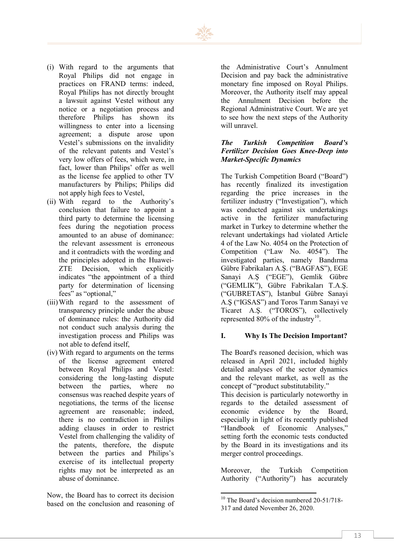- (i) With regard to the arguments that Royal Philips did not engage in practices on FRAND terms: indeed, Royal Philips has not directly brought a lawsuit against Vestel without any notice or a negotiation process and therefore Philips has shown its willingness to enter into a licensing agreement; a dispute arose upon Vestel's submissions on the invalidity of the relevant patents and Vestel's very low offers of fees, which were, in fact, lower than Philips' offer as well as the license fee applied to other TV manufacturers by Philips; Philips did not apply high fees to Vestel,
- (ii) With regard to the Authority's conclusion that failure to appoint a third party to determine the licensing fees during the negotiation process amounted to an abuse of dominance: the relevant assessment is erroneous and it contradicts with the wording and the principles adopted in the Huawei-ZTE Decision, which explicitly indicates "the appointment of a third party for determination of licensing fees" as "optional,"
- (iii)With regard to the assessment of transparency principle under the abuse of dominance rules: the Authority did not conduct such analysis during the investigation process and Philips was not able to defend itself,
- (iv) With regard to arguments on the terms of the license agreement entered between Royal Philips and Vestel: considering the long-lasting dispute between the parties, where no consensus was reached despite years of negotiations, the terms of the license agreement are reasonable; indeed, there is no contradiction in Philips adding clauses in order to restrict Vestel from challenging the validity of the patents, therefore, the dispute between the parties and Philips's exercise of its intellectual property rights may not be interpreted as an abuse of dominance.

<span id="page-14-0"></span>Now, the Board has to correct its decision based on the conclusion and reasoning of the Administrative Court's Annulment Decision and pay back the administrative monetary fine imposed on Royal Philips. Moreover, the Authority itself may appeal the Annulment Decision before the Regional Administrative Court. We are yet to see how the next steps of the Authority will unravel.

#### *The Turkish Competition Board's Fertilizer Decision Goes Knee-Deep into Market-Specific Dynamics*

The Turkish Competition Board ("Board") has recently finalized its investigation regarding the price increases in the fertilizer industry ("Investigation"), which was conducted against six undertakings active in the fertilizer manufacturing market in Turkey to determine whether the relevant undertakings had violated Article 4 of the Law No. 4054 on the Protection of Competition ("Law No. 4054"). The investigated parties, namely Bandırma Gübre Fabrikaları A.Ş. ("BAGFAS"), EGE Sanayi A.Ş ("EGE"), Gemlik Gübre ("GEMLIK"), Gübre Fabrikaları T.A.Ş. ("GUBRETAS"), İstanbul Gübre Sanayi A.Ş ("IGSAS") and Toros Tarım Sanayi ve Ticaret A.Ş. ("TOROS"), collectively represented  $80\%$  of the industry<sup>[10](#page-14-0)</sup>.

#### **I. Why Is The Decision Important?**

The Board's reasoned decision, which was released in April 2021, included highly detailed analyses of the sector dynamics and the relevant market, as well as the concept of "product substitutability."

This decision is particularly noteworthy in regards to the detailed assessment of economic evidence by the Board, especially in light of its recently published "Handbook of Economic Analyses," setting forth the economic tests conducted by the Board in its investigations and its merger control proceedings.

Moreover, the Turkish Competition Authority ("Authority") has accurately

<sup>&</sup>lt;sup>10</sup> The Board's decision numbered 20-51/718-317 and dated November 26, 2020.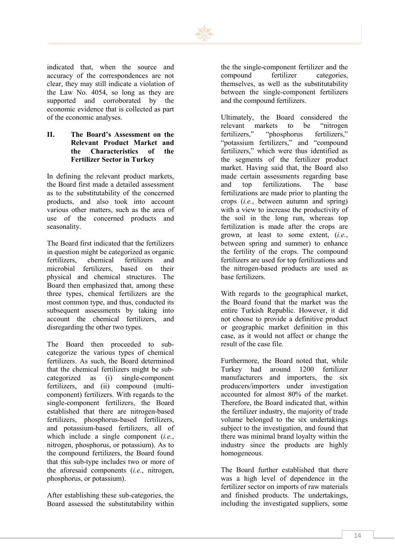

indicated that, when the source and accuracy of the correspondences are not clear, they may still indicate a violation of the Law No. 4054, so long as they are supported and corroborated by the economic evidence that is collected as part of the economic analyses.

#### **II. The Board's Assessment on the Relevant Product Market and the Characteristics of the Fertilizer Sector in Turkey**

In defining the relevant product markets, the Board first made a detailed assessment as to the substitutability of the concerned products, and also took into account various other matters, such as the area of use of the concerned products and seasonality.

The Board first indicated that the fertilizers in question might be categorized as organic fertilizers, chemical fertilizers and microbial fertilizers, based on their physical and chemical structures. The Board then emphasized that, among these three types, chemical fertilizers are the most common type, and thus, conducted its subsequent assessments by taking into account the chemical fertilizers, and disregarding the other two types.

The Board then proceeded to subcategorize the various types of chemical fertilizers. As such, the Board determined that the chemical fertilizers might be subcategorized as (i) single-component fertilizers, and (ii) compound (multicomponent) fertilizers. With regards to the single-component fertilizers, the Board established that there are nitrogen-based fertilizers, phosphorus-based fertilizers, and potassium-based fertilizers, all of which include a single component (*i.e.*, nitrogen, phosphorus, or potassium). As to the compound fertilizers, the Board found that this sub-type includes two or more of the aforesaid components (*i.e.*, nitrogen, phosphorus, or potassium).

After establishing these sub-categories, the Board assessed the substitutability within the the single-component fertilizer and the compound fertilizer categories, themselves, as well as the substitutability between the single-component fertilizers and the compound fertilizers.

Ultimately, the Board considered the relevant markets to be "nitrogen fertilizers," "phosphorus fertilizers," "potassium fertilizers," and "compound fertilizers," which were thus identified as the segments of the fertilizer product market. Having said that, the Board also made certain assessments regarding base and top fertilizations. The base fertilizations are made prior to planting the crops (*i.e.*, between autumn and spring) with a view to increase the productivity of the soil in the long run, whereas top fertilization is made after the crops are grown, at least to some extent, (*i.e.*, between spring and summer) to enhance the fertility of the crops. The compound fertilizers are used for top fertilizations and the nitrogen-based products are used as base fertilizers.

With regards to the geographical market, the Board found that the market was the entire Turkish Republic. However, it did not choose to provide a definitive product or geographic market definition in this case, as it would not affect or change the result of the case file.

Furthermore, the Board noted that, while Turkey had around 1200 fertilizer manufacturers and importers, the six producers/importers under investigation accounted for almost 80% of the market. Therefore, the Board indicated that, within the fertilizer industry, the majority of trade volume belonged to the six undertakings subject to the investigation, and found that there was minimal brand loyalty within the industry since the products are highly homogeneous.

The Board further established that there was a high level of dependence in the fertilizer sector on imports of raw materials and finished products. The undertakings, including the investigated suppliers, some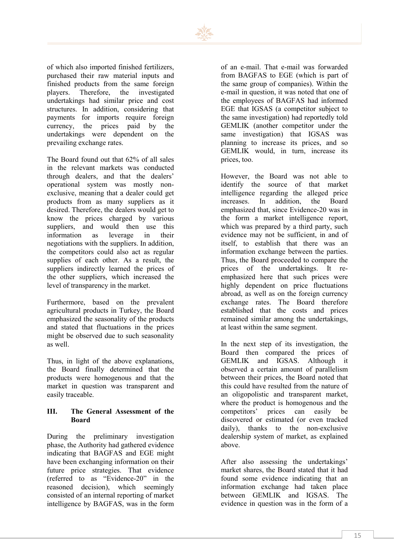

of which also imported finished fertilizers, purchased their raw material inputs and finished products from the same foreign players. Therefore, the investigated undertakings had similar price and cost structures. In addition, considering that payments for imports require foreign currency, the prices paid by the undertakings were dependent on the prevailing exchange rates.

The Board found out that 62% of all sales in the relevant markets was conducted through dealers, and that the dealers' operational system was mostly nonexclusive, meaning that a dealer could get products from as many suppliers as it desired. Therefore, the dealers would get to know the prices charged by various suppliers, and would then use this information as leverage in their negotiations with the suppliers. In addition, the competitors could also act as regular supplies of each other. As a result, the suppliers indirectly learned the prices of the other suppliers, which increased the level of transparency in the market.

Furthermore, based on the prevalent agricultural products in Turkey, the Board emphasized the seasonality of the products and stated that fluctuations in the prices might be observed due to such seasonality as well.

Thus, in light of the above explanations, the Board finally determined that the products were homogenous and that the market in question was transparent and easily traceable.

#### **III. The General Assessment of the Board**

During the preliminary investigation phase, the Authority had gathered evidence indicating that BAGFAS and EGE might have been exchanging information on their future price strategies. That evidence (referred to as "Evidence-20" in the reasoned decision), which seemingly consisted of an internal reporting of market intelligence by BAGFAS, was in the form

of an e-mail. That e-mail was forwarded from BAGFAS to EGE (which is part of the same group of companies). Within the e-mail in question, it was noted that one of the employees of BAGFAS had informed EGE that IGSAS (a competitor subject to the same investigation) had reportedly told GEMLIK (another competitor under the same investigation) that IGSAS was planning to increase its prices, and so GEMLIK would, in turn, increase its prices, too.

However, the Board was not able to identify the source of that market intelligence regarding the alleged price increases. In addition, the Board emphasized that, since Evidence-20 was in the form a market intelligence report, which was prepared by a third party, such evidence may not be sufficient, in and of itself, to establish that there was an information exchange between the parties. Thus, the Board proceeded to compare the prices of the undertakings. It reemphasized here that such prices were highly dependent on price fluctuations abroad, as well as on the foreign currency exchange rates. The Board therefore established that the costs and prices remained similar among the undertakings, at least within the same segment.

In the next step of its investigation, the Board then compared the prices of GEMLIK and IGSAS. Although it observed a certain amount of parallelism between their prices, the Board noted that this could have resulted from the nature of an oligopolistic and transparent market, where the product is homogenous and the<br>competitors' prices can easily be competitors' prices can easily be discovered or estimated (or even tracked daily), thanks to the non-exclusive dealership system of market, as explained above.

After also assessing the undertakings' market shares, the Board stated that it had found some evidence indicating that an information exchange had taken place between GEMLIK and IGSAS. The evidence in question was in the form of a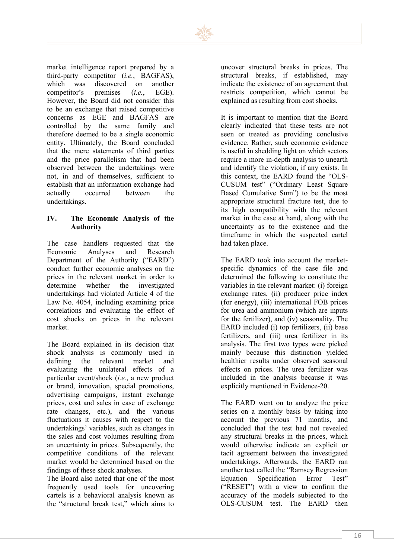

market intelligence report prepared by a third-party competitor (*i.e.*, BAGFAS), which was discovered on another competitor's premises (*i.e.*, EGE). However, the Board did not consider this to be an exchange that raised competitive concerns as EGE and BAGFAS are controlled by the same family and therefore deemed to be a single economic entity. Ultimately, the Board concluded that the mere statements of third parties and the price parallelism that had been observed between the undertakings were not, in and of themselves, sufficient to establish that an information exchange had actually occurred between the undertakings.

#### **IV. The Economic Analysis of the Authority**

The case handlers requested that the Economic Analyses and Research Department of the Authority ("EARD") conduct further economic analyses on the prices in the relevant market in order to determine whether the investigated undertakings had violated Article 4 of the Law No. 4054, including examining price correlations and evaluating the effect of cost shocks on prices in the relevant market.

The Board explained in its decision that shock analysis is commonly used in defining the relevant market and evaluating the unilateral effects of a particular event/shock (*i.e.*, a new product or brand, innovation, special promotions, advertising campaigns, instant exchange prices, cost and sales in case of exchange rate changes, etc.), and the various fluctuations it causes with respect to the undertakings' variables, such as changes in the sales and cost volumes resulting from an uncertainty in prices. Subsequently, the competitive conditions of the relevant market would be determined based on the findings of these shock analyses.

The Board also noted that one of the most frequently used tools for uncovering cartels is a behavioral analysis known as the "structural break test," which aims to uncover structural breaks in prices. The structural breaks, if established, may indicate the existence of an agreement that restricts competition, which cannot be explained as resulting from cost shocks.

It is important to mention that the Board clearly indicated that these tests are not seen or treated as providing conclusive evidence. Rather, such economic evidence is useful in shedding light on which sectors require a more in-depth analysis to unearth and identify the violation, if any exists. In this context, the EARD found the "OLS-CUSUM test" ("Ordinary Least Square Based Cumulative Sum") to be the most appropriate structural fracture test, due to its high compatibility with the relevant market in the case at hand, along with the uncertainty as to the existence and the timeframe in which the suspected cartel had taken place.

The EARD took into account the marketspecific dynamics of the case file and determined the following to constitute the variables in the relevant market: (i) foreign exchange rates, (ii) producer price index (for energy), (iii) international FOB prices for urea and ammonium (which are inputs for the fertilizer), and (iv) seasonality. The EARD included (i) top fertilizers, (ii) base fertilizers, and (iii) urea fertilizer in its analysis. The first two types were picked mainly because this distinction yielded healthier results under observed seasonal effects on prices. The urea fertilizer was included in the analysis because it was explicitly mentioned in Evidence-20.

The EARD went on to analyze the price series on a monthly basis by taking into account the previous 71 months, and concluded that the test had not revealed any structural breaks in the prices, which would otherwise indicate an explicit or tacit agreement between the investigated undertakings. Afterwards, the EARD ran another test called the "Ramsey Regression Equation Specification Error Test" ("RESET") with a view to confirm the accuracy of the models subjected to the OLS-CUSUM test. The EARD then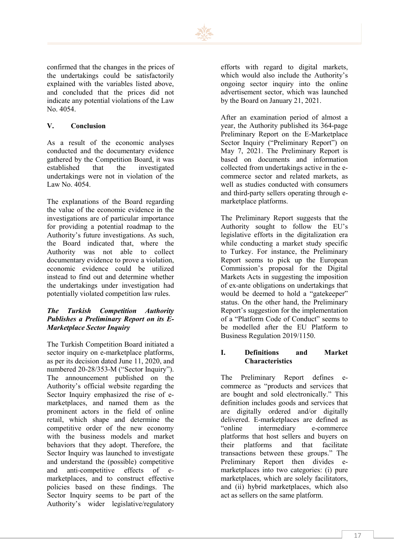

confirmed that the changes in the prices of the undertakings could be satisfactorily explained with the variables listed above, and concluded that the prices did not indicate any potential violations of the Law No. 4054.

#### **V. Conclusion**

As a result of the economic analyses conducted and the documentary evidence gathered by the Competition Board, it was established that the investigated undertakings were not in violation of the Law No. 4054.

The explanations of the Board regarding the value of the economic evidence in the investigations are of particular importance for providing a potential roadmap to the Authority's future investigations. As such, the Board indicated that, where the Authority was not able to collect documentary evidence to prove a violation, economic evidence could be utilized instead to find out and determine whether the undertakings under investigation had potentially violated competition law rules.

#### *The Turkish Competition Authority Publishes a Preliminary Report on its E-Marketplace Sector Inquiry*

The Turkish Competition Board initiated a sector inquiry on e-marketplace platforms, as per its decision dated June 11, 2020, and numbered 20-28/353-M ("Sector Inquiry"). The announcement published on the Authority's official website regarding the Sector Inquiry emphasized the rise of emarketplaces, and named them as the prominent actors in the field of online retail, which shape and determine the competitive order of the new economy with the business models and market behaviors that they adopt. Therefore, the Sector Inquiry was launched to investigate and understand the (possible) competitive and anti-competitive effects of emarketplaces, and to construct effective policies based on these findings. The Sector Inquiry seems to be part of the Authority's wider legislative/regulatory efforts with regard to digital markets, which would also include the Authority's ongoing sector inquiry into the online advertisement sector, which was launched by the Board on January 21, 2021.

After an examination period of almost a year, the Authority published its 364-page Preliminary Report on the E-Marketplace Sector Inquiry ("Preliminary Report") on May 7, 2021. The Preliminary Report is based on documents and information collected from undertakings active in the ecommerce sector and related markets, as well as studies conducted with consumers and third-party sellers operating through emarketplace platforms.

The Preliminary Report suggests that the Authority sought to follow the EU's legislative efforts in the digitalization era while conducting a market study specific to Turkey. For instance, the Preliminary Report seems to pick up the European Commission's proposal for the Digital Markets Acts in suggesting the imposition of ex-ante obligations on undertakings that would be deemed to hold a "gatekeeper" status. On the other hand, the Preliminary Report's suggestion for the implementation of a "Platform Code of Conduct" seems to be modelled after the EU Platform to Business Regulation 2019/1150.

#### **I. Definitions and Market Characteristics**

The Preliminary Report defines ecommerce as "products and services that are bought and sold electronically." This definition includes goods and services that are digitally ordered and/or digitally delivered. E-marketplaces are defined as "online intermediary e-commerce platforms that host sellers and buyers on their platforms and that facilitate transactions between these groups." The Preliminary Report then divides emarketplaces into two categories: (i) pure marketplaces, which are solely facilitators, and (ii) hybrid marketplaces, which also act as sellers on the same platform.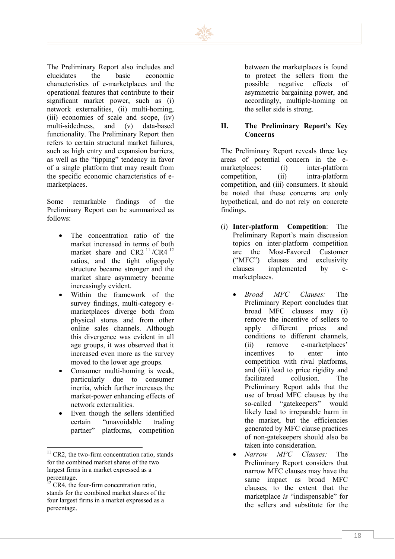

The Preliminary Report also includes and elucidates the basic economic characteristics of e-marketplaces and the operational features that contribute to their significant market power, such as (i) network externalities, (ii) multi-homing, (iii) economies of scale and scope, (iv) multi-sidedness, and (v) data-based functionality. The Preliminary Report then refers to certain structural market failures, such as high entry and expansion barriers, as well as the "tipping" tendency in favor of a single platform that may result from the specific economic characteristics of emarketplaces.

Some remarkable findings of the Preliminary Report can be summarized as follows:

- The concentration ratio of the market increased in terms of both market share and  $C\mathbb{R}2^{-11}/\mathbb{C}\mathbb{R}4^{-12}$  $C\mathbb{R}2^{-11}/\mathbb{C}\mathbb{R}4^{-12}$  $C\mathbb{R}2^{-11}/\mathbb{C}\mathbb{R}4^{-12}$  $C\mathbb{R}2^{-11}/\mathbb{C}\mathbb{R}4^{-12}$  $C\mathbb{R}2^{-11}/\mathbb{C}\mathbb{R}4^{-12}$ ratios, and the tight oligopoly structure became stronger and the market share asymmetry became increasingly evident.
- Within the framework of the survey findings, multi-category emarketplaces diverge both from physical stores and from other online sales channels. Although this divergence was evident in all age groups, it was observed that it increased even more as the survey moved to the lower age groups.
- Consumer multi-homing is weak, particularly due to consumer inertia, which further increases the market-power enhancing effects of network externalities.
- Even though the sellers identified certain "unavoidable trading partner" platforms, competition

between the marketplaces is found to protect the sellers from the possible negative effects of asymmetric bargaining power, and accordingly, multiple-homing on the seller side is strong.

#### **II. The Preliminary Report's Key Concerns**

The Preliminary Report reveals three key areas of potential concern in the emarketplaces: (i) inter-platform competition, (ii) intra-platform competition, and (iii) consumers. It should be noted that these concerns are only hypothetical, and do not rely on concrete findings.

- (i) **Inter-platform Competition**: The Preliminary Report's main discussion topics on inter-platform competition are the Most-Favored Customer ("MFC") clauses and exclusivity clauses implemented by emarketplaces.
	- *Broad MFC Clauses:* The Preliminary Report concludes that broad MFC clauses may (i) remove the incentive of sellers to apply different prices and conditions to different channels, (ii) remove e-marketplaces' incentives to enter into competition with rival platforms, and (iii) lead to price rigidity and facilitated collusion. The Preliminary Report adds that the use of broad MFC clauses by the so-called "gatekeepers" would likely lead to irreparable harm in the market, but the efficiencies generated by MFC clause practices of non-gatekeepers should also be taken into consideration.
	- *Narrow MFC Clauses:* The Preliminary Report considers that narrow MFC clauses may have the same impact as broad MFC clauses, to the extent that the marketplace *is* "indispensable" for the sellers and substitute for the

<span id="page-19-0"></span> $11$  CR2, the two-firm concentration ratio, stands for the combined market shares of the two largest firms in a market expressed as a  $\frac{1}{2}$  percentage.

<span id="page-19-1"></span> $2 \text{ C}\text{R}4$ , the four-firm concentration ratio. stands for the combined market shares of the four largest firms in a market expressed as a percentage.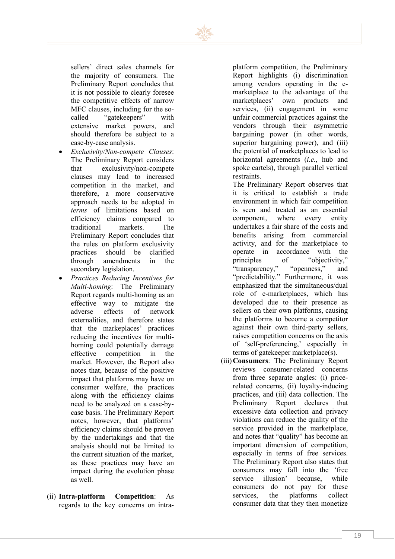

sellers' direct sales channels for the majority of consumers. The Preliminary Report concludes that it is not possible to clearly foresee the competitive effects of narrow MFC clauses, including for the socalled "gatekeepers" with extensive market powers, and should therefore be subject to a case-by-case analysis.

- *Exclusivity/Non-compete Clauses*: The Preliminary Report considers that exclusivity/non-compete clauses may lead to increased competition in the market, and therefore, a more conservative approach needs to be adopted in *terms* of limitations based on efficiency claims compared to traditional markets. The Preliminary Report concludes that the rules on platform exclusivity practices should be clarified through amendments in the secondary legislation.
- *Practices Reducing Incentives for Multi-homing*: The Preliminary Report regards multi-homing as an effective way to mitigate the adverse effects of network externalities, and therefore states that the markeplaces' practices reducing the incentives for multihoming could potentially damage effective competition in the market. However, the Report also notes that, because of the positive impact that platforms may have on consumer welfare, the practices along with the efficiency claims need to be analyzed on a case-bycase basis. The Preliminary Report notes, however, that platforms' efficiency claims should be proven by the undertakings and that the analysis should not be limited to the current situation of the market, as these practices may have an impact during the evolution phase as well.
- (ii) **Intra-platform Competition**: As regards to the key concerns on intra-

platform competition, the Preliminary Report highlights (i) discrimination among vendors operating in the emarketplace to the advantage of the marketplaces' own products and services, (ii) engagement in some unfair commercial practices against the vendors through their asymmetric bargaining power (in other words, superior bargaining power), and (iii) the potential of marketplaces to lead to horizontal agreements (*i.e.*, hub and spoke cartels), through parallel vertical restraints.

The Preliminary Report observes that it is critical to establish a trade environment in which fair competition is seen and treated as an essential component, where every entity undertakes a fair share of the costs and benefits arising from commercial activity, and for the marketplace to operate in accordance with the principles of "objectivity," "transparency," "openness," and "predictability." Furthermore, it was emphasized that the simultaneous/dual role of e-marketplaces, which has developed due to their presence as sellers on their own platforms, causing the platforms to become a competitor against their own third-party sellers, raises competition concerns on the axis of 'self-preferencing,' especially in terms of gatekeeper marketplace(s).

(iii)**Consumers**: The Preliminary Report reviews consumer-related concerns from three separate angles: (i) pricerelated concerns, (ii) loyalty-inducing practices, and (iii) data collection. The Preliminary Report declares that excessive data collection and privacy violations can reduce the quality of the service provided in the marketplace, and notes that "quality" has become an important dimension of competition, especially in terms of free services. The Preliminary Report also states that consumers may fall into the 'free service illusion' because, while consumers do not pay for these services, the platforms collect consumer data that they then monetize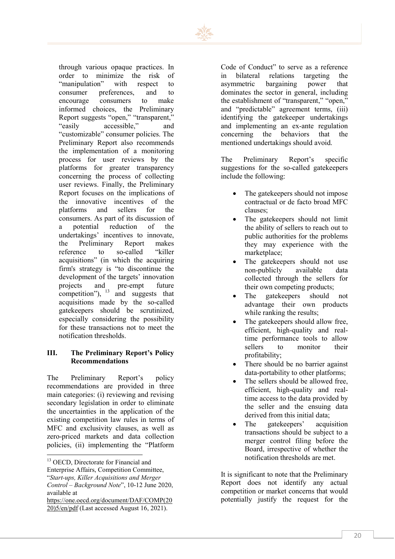

through various opaque practices. In order to minimize the risk of "manipulation" with respect to consumer preferences, and to encourage consumers to make informed choices, the Preliminary Report suggests "open," "transparent," "easily accessible," and "customizable" consumer policies. The Preliminary Report also recommends the implementation of a monitoring process for user reviews by the platforms for greater transparency concerning the process of collecting user reviews. Finally, the Preliminary Report focuses on the implications of the innovative incentives of the platforms and sellers for the consumers. As part of its discussion of a potential reduction of the undertakings' incentives to innovate, the Preliminary Report makes reference to so-called "killer acquisitions" (in which the acquiring firm's strategy is "to discontinue the development of the targets' innovation projects and pre-empt future competition"),  $^{13}$  $^{13}$  $^{13}$  and suggests that acquisitions made by the so-called gatekeepers should be scrutinized, especially considering the possibility for these transactions not to meet the notification thresholds.

#### **III. The Preliminary Report's Policy Recommendations**

The Preliminary Report's policy recommendations are provided in three main categories: (i) reviewing and revising secondary legislation in order to eliminate the uncertainties in the application of the existing competition law rules in terms of MFC and exclusivity clauses, as well as zero-priced markets and data collection policies, (ii) implementing the "Platform

Code of Conduct" to serve as a reference in bilateral relations targeting the asymmetric bargaining power that dominates the sector in general, including the establishment of "transparent," "open," and "predictable" agreement terms, (iii) identifying the gatekeeper undertakings and implementing an ex-ante regulation concerning the behaviors that the mentioned undertakings should avoid.

The Preliminary Report's specific suggestions for the so-called gatekeepers include the following:

- The gatekeepers should not impose contractual or de facto broad MFC clauses;
- The gatekeepers should not limit the ability of sellers to reach out to public authorities for the problems they may experience with the marketplace;
- The gatekeepers should not use non-publicly available data collected through the sellers for their own competing products;
- The gatekeepers should not advantage their own products while ranking the results;
- The gatekeepers should allow free, efficient, high-quality and realtime performance tools to allow sellers to monitor their profitability;
- There should be no barrier against data-portability to other platforms;
- The sellers should be allowed free, efficient, high-quality and realtime access to the data provided by the seller and the ensuing data derived from this initial data;
- The gatekeepers' acquisition transactions should be subject to a merger control filing before the Board, irrespective of whether the notification thresholds are met.

It is significant to note that the Preliminary Report does not identify any actual competition or market concerns that would potentially justify the request for the

<span id="page-21-0"></span><sup>&</sup>lt;sup>13</sup> OECD, Directorate for Financial and

Enterprise Affairs, Competition Committee,

<sup>&</sup>quot;*Start-ups, Killer Acquisitions and Merger Control – Background Note*", 10-12 June 2020, available at

[https://one.oecd.org/document/DAF/COMP\(20](https://one.oecd.org/document/DAF/COMP(2020)5/en/pdf) [20\)5/en/pdf](https://one.oecd.org/document/DAF/COMP(2020)5/en/pdf) (Last accessed August 16, 2021).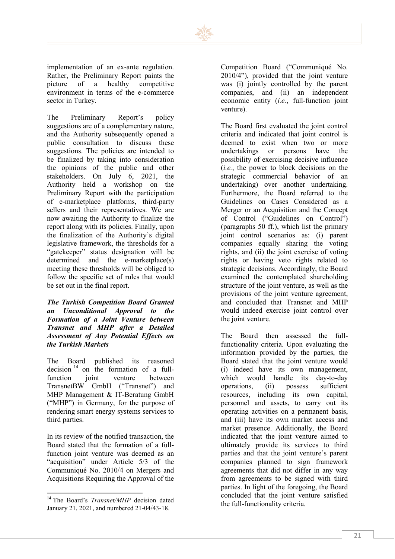

implementation of an ex-ante regulation. Rather, the Preliminary Report paints the picture of a healthy competitive environment in terms of the e-commerce sector in Turkey.

The Preliminary Report's policy suggestions are of a complementary nature, and the Authority subsequently opened a public consultation to discuss these suggestions. The policies are intended to be finalized by taking into consideration the opinions of the public and other stakeholders. On July 6, 2021, the Authority held a workshop on the Preliminary Report with the participation of e-marketplace platforms, third-party sellers and their representatives. We are now awaiting the Authority to finalize the report along with its policies. Finally, upon the finalization of the Authority's digital legislative framework, the thresholds for a "gatekeeper" status designation will be determined and the e-marketplace(s) meeting these thresholds will be obliged to follow the specific set of rules that would be set out in the final report.

#### *The Turkish Competition Board Granted an Unconditional Approval to the Formation of a Joint Venture between Transnet and MHP after a Detailed Assessment of Any Potential Effects on the Turkish Markets*

The Board published its reasoned decision  $14$  on the formation of a fullfunction joint venture between TransnetBW GmbH ("Transnet") and MHP Management & IT-Beratung GmbH ("MHP") in Germany, for the purpose of rendering smart energy systems services to third parties.

In its review of the notified transaction, the Board stated that the formation of a fullfunction joint venture was deemed as an "acquisition" under Article 5/3 of the Communiqué No. 2010/4 on Mergers and Acquisitions Requiring the Approval of the

Competition Board ("Communiqué No. 2010/4"), provided that the joint venture was (i) jointly controlled by the parent companies, and (ii) an independent economic entity (*i.e.*, full-function joint venture).

The Board first evaluated the joint control criteria and indicated that joint control is deemed to exist when two or more undertakings or persons have the possibility of exercising decisive influence (*i.e.*, the power to block decisions on the strategic commercial behavior of an undertaking) over another undertaking. Furthermore, the Board referred to the Guidelines on Cases Considered as a Merger or an Acquisition and the Concept of Control ("Guidelines on Control") (paragraphs 50 ff.), which list the primary joint control scenarios as: (i) parent companies equally sharing the voting rights, and (ii) the joint exercise of voting rights or having veto rights related to strategic decisions. Accordingly, the Board examined the contemplated shareholding structure of the joint venture, as well as the provisions of the joint venture agreement, and concluded that Transnet and MHP would indeed exercise joint control over the joint venture.

The Board then assessed the fullfunctionality criteria. Upon evaluating the information provided by the parties, the Board stated that the joint venture would (i) indeed have its own management, which would handle its day-to-day operations, (ii) possess sufficient resources, including its own capital, personnel and assets, to carry out its operating activities on a permanent basis, and (iii) have its own market access and market presence. Additionally, the Board indicated that the joint venture aimed to ultimately provide its services to third parties and that the joint venture's parent companies planned to sign framework agreements that did not differ in any way from agreements to be signed with third parties. In light of the foregoing, the Board concluded that the joint venture satisfied the full-functionality criteria.

<span id="page-22-0"></span><sup>14</sup> The Board's *Transnet/MHP* decision dated January 21, 2021, and numbered 21-04/43-18.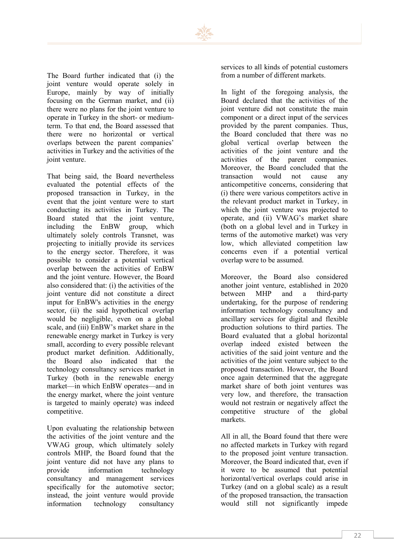The Board further indicated that (i) the joint venture would operate solely in Europe, mainly by way of initially focusing on the German market, and (ii) there were no plans for the joint venture to operate in Turkey in the short- or mediumterm. To that end, the Board assessed that there were no horizontal or vertical overlaps between the parent companies' activities in Turkey and the activities of the joint venture.

That being said, the Board nevertheless evaluated the potential effects of the proposed transaction in Turkey, in the event that the joint venture were to start conducting its activities in Turkey. The Board stated that the joint venture, including the EnBW group, which ultimately solely controls Transnet, was projecting to initially provide its services to the energy sector. Therefore, it was possible to consider a potential vertical overlap between the activities of EnBW and the joint venture. However, the Board also considered that: (i) the activities of the joint venture did not constitute a direct input for EnBW's activities in the energy sector, (ii) the said hypothetical overlap would be negligible, even on a global scale, and (iii) EnBW's market share in the renewable energy market in Turkey is very small, according to every possible relevant product market definition. Additionally, the Board also indicated that the technology consultancy services market in Turkey (both in the renewable energy market—in which EnBW operates—and in the energy market, where the joint venture is targeted to mainly operate) was indeed competitive.

Upon evaluating the relationship between the activities of the joint venture and the VWAG group, which ultimately solely controls MHP, the Board found that the joint venture did not have any plans to provide information technology consultancy and management services specifically for the automotive sector; instead, the joint venture would provide information technology consultancy services to all kinds of potential customers from a number of different markets.

In light of the foregoing analysis, the Board declared that the activities of the joint venture did not constitute the main component or a direct input of the services provided by the parent companies. Thus, the Board concluded that there was no global vertical overlap between the activities of the joint venture and the activities of the parent companies. Moreover, the Board concluded that the transaction would not cause any anticompetitive concerns, considering that (i) there were various competitors active in the relevant product market in Turkey, in which the joint venture was projected to operate, and (ii) VWAG's market share (both on a global level and in Turkey in terms of the automotive market) was very low, which alleviated competition law concerns even if a potential vertical overlap were to be assumed.

Moreover, the Board also considered another joint venture, established in 2020 between MHP and a third-party undertaking, for the purpose of rendering information technology consultancy and ancillary services for digital and flexible production solutions to third parties. The Board evaluated that a global horizontal overlap indeed existed between the activities of the said joint venture and the activities of the joint venture subject to the proposed transaction. However, the Board once again determined that the aggregate market share of both joint ventures was very low, and therefore, the transaction would not restrain or negatively affect the competitive structure of the global markets.

All in all, the Board found that there were no affected markets in Turkey with regard to the proposed joint venture transaction. Moreover, the Board indicated that, even if it were to be assumed that potential horizontal/vertical overlaps could arise in Turkey (and on a global scale) as a result of the proposed transaction, the transaction would still not significantly impede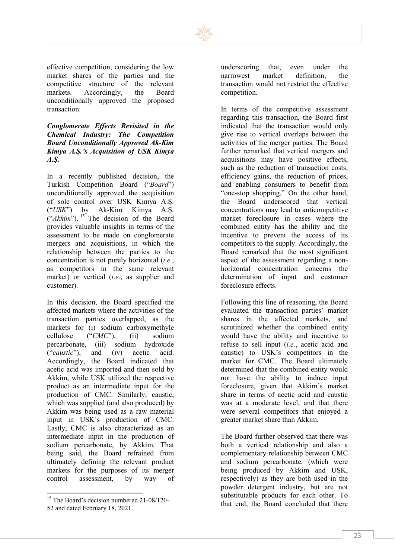

effective competition, considering the low market shares of the parties and the competitive structure of the relevant markets. Accordingly, the Board unconditionally approved the proposed transaction.

#### *Conglomerate Effects Revisited in the Chemical Industry: The Competition Board Unconditionally Approved Ak-Kim Kimya A.Ş.'s Acquisition of USK Kimya A.Ş.*

In a recently published decision, the Turkish Competition Board ("*Board*") unconditionally approved the acquisition of sole control over USK Kimya A.Ş. ("*USK*") by Ak-Kim Kimya A.Ş. ("*Akkim*"). [15](#page-24-0) The decision of the Board provides valuable insights in terms of the assessment to be made on conglomerate mergers and acquisitions, in which the relationship between the parties to the concentration is not purely horizontal (*i.e.*, as competitors in the same relevant market) or vertical (*i.e.*, as supplier and customer).

In this decision, the Board specified the affected markets where the activities of the transaction parties overlapped, as the markets for (i) sodium carboxymethyle cellulose ("*CMC*"), (ii) sodium percarbonate, (iii) sodium hydroxide ("*caustic*"), and (iv) acetic acid. Accordingly, the Board indicated that acetic acid was imported and then sold by Akkim, while USK utilized the respective product as an intermediate input for the production of CMC. Similarly, caustic, which was supplied (and also produced) by Akkim was being used as a raw material input in USK`s production of CMC. Lastly, CMC is also characterized as an intermediate input in the production of sodium percarbonate, by Akkim. That being said, the Board refrained from ultimately defining the relevant product markets for the purposes of its merger control assessment, by way of underscoring that, even under the narrowest market definition, the transaction would not restrict the effective competition.

In terms of the competitive assessment regarding this transaction, the Board first indicated that the transaction would only give rise to vertical overlaps between the activities of the merger parties. The Board further remarked that vertical mergers and acquisitions may have positive effects, such as the reduction of transaction costs, efficiency gains, the reduction of prices, and enabling consumers to benefit from "one-stop shopping." On the other hand, the Board underscored that vertical concentrations may lead to anticompetitive market foreclosure in cases where the combined entity has the ability and the incentive to prevent the access of its competitors to the supply. Accordingly, the Board remarked that the most significant aspect of the assessment regarding a nonhorizontal concentration concerns the determination of input and customer foreclosure effects.

Following this line of reasoning, the Board evaluated the transaction parties' market shares in the affected markets, and scrutinized whether the combined entity would have the ability and incentive to refuse to sell input (*i.e.*, acetic acid and caustic) to USK's competitors in the market for CMC. The Board ultimately determined that the combined entity would not have the ability to induce input foreclosure, given that Akkim's market share in terms of acetic acid and caustic was at a moderate level, and that there were several competitors that enjoyed a greater market share than Akkim.

The Board further observed that there was both a vertical relationship and also a complementary relationship between CMC and sodium percarbonate, (which were being produced by Akkim and USK, respectively) as they are both used in the powder detergent industry, but are not substitutable products for each other. To that end, the Board concluded that there

<span id="page-24-0"></span><sup>&</sup>lt;sup>15</sup> The Board's decision numbered 21-08/120-52 and dated February 18, 2021.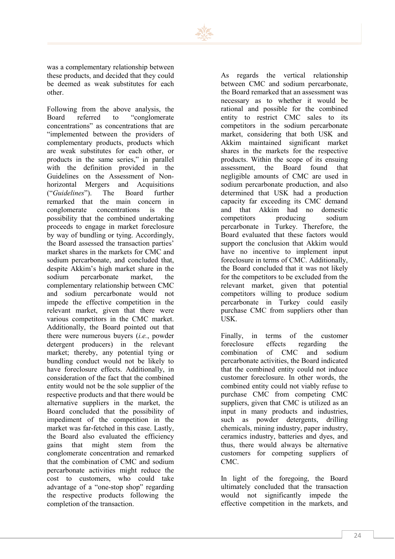

was a complementary relationship between these products, and decided that they could be deemed as weak substitutes for each other.

Following from the above analysis, the Board referred to "conglomerate concentrations" as concentrations that are "implemented between the providers of complementary products, products which are weak substitutes for each other, or products in the same series," in parallel with the definition provided in the Guidelines on the Assessment of Nonhorizontal Mergers and Acquisitions ("*Guidelines*"). The Board further remarked that the main concern in conglomerate concentrations is the possibility that the combined undertaking proceeds to engage in market foreclosure by way of bundling or tying. Accordingly, the Board assessed the transaction parties' market shares in the markets for CMC and sodium percarbonate, and concluded that, despite Akkim's high market share in the sodium percarbonate market, the complementary relationship between CMC and sodium percarbonate would not impede the effective competition in the relevant market, given that there were various competitors in the CMC market. Additionally, the Board pointed out that there were numerous buyers (*i.e.*, powder detergent producers) in the relevant market; thereby, any potential tying or bundling conduct would not be likely to have foreclosure effects. Additionally, in consideration of the fact that the combined entity would not be the sole supplier of the respective products and that there would be alternative suppliers in the market, the Board concluded that the possibility of impediment of the competition in the market was far-fetched in this case. Lastly, the Board also evaluated the efficiency gains that might stem from the conglomerate concentration and remarked that the combination of CMC and sodium percarbonate activities might reduce the cost to customers, who could take advantage of a "one-stop shop" regarding the respective products following the completion of the transaction.

As regards the vertical relationship between CMC and sodium percarbonate, the Board remarked that an assessment was necessary as to whether it would be rational and possible for the combined entity to restrict CMC sales to its competitors in the sodium percarbonate market, considering that both USK and Akkim maintained significant market shares in the markets for the respective products. Within the scope of its ensuing assessment, the Board found that negligible amounts of CMC are used in sodium percarbonate production, and also determined that USK had a production capacity far exceeding its CMC demand and that Akkim had no domestic competitors producing sodium percarbonate in Turkey. Therefore, the Board evaluated that these factors would support the conclusion that Akkim would have no incentive to implement input foreclosure in terms of CMC. Additionally, the Board concluded that it was not likely for the competitors to be excluded from the relevant market, given that potential competitors willing to produce sodium percarbonate in Turkey could easily purchase CMC from suppliers other than USK.

Finally, in terms of the customer foreclosure effects regarding the combination of CMC and sodium percarbonate activities, the Board indicated that the combined entity could not induce customer foreclosure. In other words, the combined entity could not viably refuse to purchase CMC from competing CMC suppliers, given that CMC is utilized as an input in many products and industries, such as powder detergents, drilling chemicals, mining industry, paper industry, ceramics industry, batteries and dyes, and thus, there would always be alternative customers for competing suppliers of CMC.

In light of the foregoing, the Board ultimately concluded that the transaction would not significantly impede the effective competition in the markets, and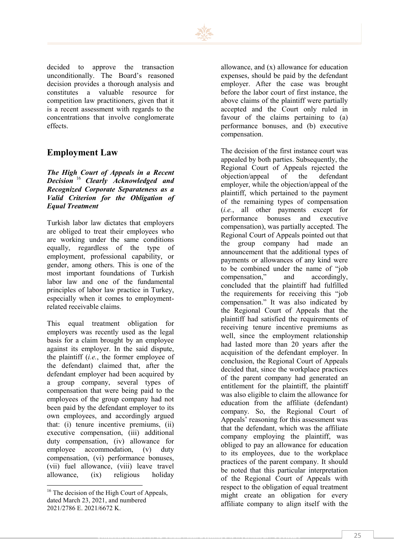

decided to approve the transaction unconditionally. The Board's reasoned decision provides a thorough analysis and constitutes a valuable resource for competition law practitioners, given that it is a recent assessment with regards to the concentrations that involve conglomerate effects.

## **Employment Law**

*The High Court of Appeals in a Recent Decision* [16](#page-26-0) *Clearly Acknowledged and Recognized Corporate Separateness as a Valid Criterion for the Obligation of Equal Treatment* 

Turkish labor law dictates that employers are obliged to treat their employees who are working under the same conditions equally, regardless of the type of employment, professional capability, or gender, among others. This is one of the most important foundations of Turkish labor law and one of the fundamental principles of labor law practice in Turkey, especially when it comes to employmentrelated receivable claims.

This equal treatment obligation for employers was recently used as the legal basis for a claim brought by an employee against its employer. In the said dispute, the plaintiff (*i.e.*, the former employee of the defendant) claimed that, after the defendant employer had been acquired by a group company, several types of compensation that were being paid to the employees of the group company had not been paid by the defendant employer to its own employees, and accordingly argued that: (i) tenure incentive premiums, (ii) executive compensation, (iii) additional duty compensation, (iv) allowance for employee accommodation, (v) duty compensation, (vi) performance bonuses, (vii) fuel allowance, (viii) leave travel allowance, (ix) religious holiday

**Çitlenbik Sokak No: 12 Yıldız Mah. Beşiktaş 34349, Istanbul / TURKEY**

allowance, and (x) allowance for education expenses, should be paid by the defendant employer. After the case was brought before the labor court of first instance, the above claims of the plaintiff were partially accepted and the Court only ruled in favour of the claims pertaining to (a) performance bonuses, and (b) executive compensation.

The decision of the first instance court was appealed by both parties. Subsequently, the Regional Court of Appeals rejected the objection/appeal of the defendant employer, while the objection/appeal of the plaintiff, which pertained to the payment of the remaining types of compensation (*i.e.*, all other payments except for performance bonuses and executive compensation), was partially accepted. The Regional Court of Appeals pointed out that the group company had made an announcement that the additional types of payments or allowances of any kind were to be combined under the name of "job compensation," and accordingly, concluded that the plaintiff had fulfilled the requirements for receiving this "job compensation." It was also indicated by the Regional Court of Appeals that the plaintiff had satisfied the requirements of receiving tenure incentive premiums as well, since the employment relationship had lasted more than 20 years after the acquisition of the defendant employer. In conclusion, the Regional Court of Appeals decided that, since the workplace practices of the parent company had generated an entitlement for the plaintiff, the plaintiff was also eligible to claim the allowance for education from the affiliate (defendant) company. So, the Regional Court of Appeals' reasoning for this assessment was that the defendant, which was the affiliate company employing the plaintiff, was obliged to pay an allowance for education to its employees, due to the workplace practices of the parent company. It should be noted that this particular interpretation of the Regional Court of Appeals with respect to the obligation of equal treatment might create an obligation for every affiliate company to align itself with the

<span id="page-26-0"></span><sup>&</sup>lt;sup>16</sup> The decision of the High Court of Appeals, dated March 23, 2021, and numbered 2021/2786 E. 2021/6672 K.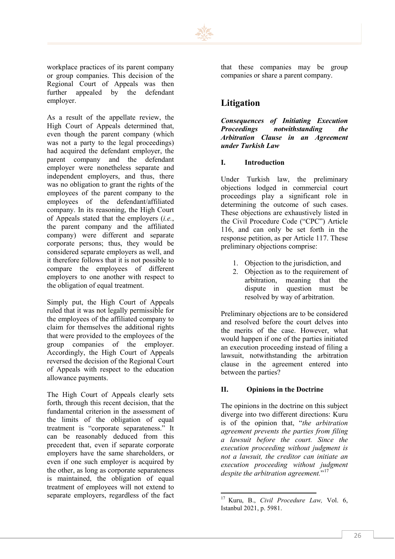

workplace practices of its parent company or group companies. This decision of the Regional Court of Appeals was then further appealed by the defendant employer.

As a result of the appellate review, the High Court of Appeals determined that, even though the parent company (which was not a party to the legal proceedings) had acquired the defendant employer, the parent company and the defendant employer were nonetheless separate and independent employers, and thus, there was no obligation to grant the rights of the employees of the parent company to the employees of the defendant/affiliated company. In its reasoning, the High Court of Appeals stated that the employers (*i.e.*, the parent company and the affiliated company) were different and separate corporate persons; thus, they would be considered separate employers as well, and it therefore follows that it is not possible to compare the employees of different employers to one another with respect to the obligation of equal treatment.

Simply put, the High Court of Appeals ruled that it was not legally permissible for the employees of the affiliated company to claim for themselves the additional rights that were provided to the employees of the group companies of the employer. Accordingly, the High Court of Appeals reversed the decision of the Regional Court of Appeals with respect to the education allowance payments.

<span id="page-27-0"></span>The High Court of Appeals clearly sets forth, through this recent decision, that the fundamental criterion in the assessment of the limits of the obligation of equal treatment is "corporate separateness." It can be reasonably deduced from this precedent that, even if separate corporate employers have the same shareholders, or even if one such employer is acquired by the other, as long as corporate separateness is maintained, the obligation of equal treatment of employees will not extend to separate employers, regardless of the fact that these companies may be group companies or share a parent company.

## **Litigation**

*Consequences of Initiating Execution Proceedings notwithstanding the Arbitration Clause in an Agreement under Turkish Law*

#### **I. Introduction**

Under Turkish law, the preliminary objections lodged in commercial court proceedings play a significant role in determining the outcome of such cases. These objections are exhaustively listed in the Civil Procedure Code ("CPC") Article 116, and can only be set forth in the response petition, as per Article 117. These preliminary objections comprise:

- 1. Objection to the jurisdiction, and
- 2. Objection as to the requirement of arbitration, meaning that the dispute in question must be resolved by way of arbitration.

Preliminary objections are to be considered and resolved before the court delves into the merits of the case. However, what would happen if one of the parties initiated an execution proceeding instead of filing a lawsuit, notwithstanding the arbitration clause in the agreement entered into between the parties?

#### **II. Opinions in the Doctrine**

The opinions in the doctrine on this subject diverge into two different directions: Kuru is of the opinion that, "*the arbitration agreement prevents the parties from filing a lawsuit before the court. Since the execution proceeding without judgment is not a lawsuit, the creditor can initiate an execution proceeding without judgment despite the arbitration agreement.*"<sup>[17](#page-27-0)</sup>

<sup>17</sup> Kuru, B., *Civil Procedure Law,* Vol. 6, Istanbul 2021, p. 5981.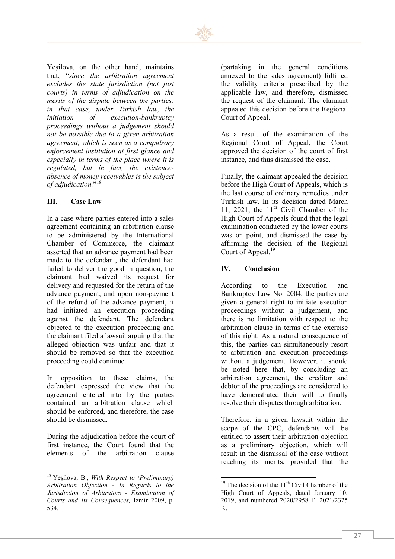

Yeşilova, on the other hand, maintains that, "*since the arbitration agreement excludes the state jurisdiction (not just courts) in terms of adjudication on the merits of the dispute between the parties; in that case, under Turkish law, the initiation of execution-bankruptcy proceedings without a judgement should not be possible due to a given arbitration agreement, which is seen as a compulsory enforcement institution at first glance and especially in terms of the place where it is regulated, but in fact, the existenceabsence of money receivables is the subject of adjudication*.<sup>"[18](#page-28-0)</sup>

#### **III. Case Law**

In a case where parties entered into a sales agreement containing an arbitration clause to be administered by the International Chamber of Commerce, the claimant asserted that an advance payment had been made to the defendant, the defendant had failed to deliver the good in question, the claimant had waived its request for delivery and requested for the return of the advance payment, and upon non-payment of the refund of the advance payment, it had initiated an execution proceeding against the defendant. The defendant objected to the execution proceeding and the claimant filed a lawsuit arguing that the alleged objection was unfair and that it should be removed so that the execution proceeding could continue.

In opposition to these claims, the defendant expressed the view that the agreement entered into by the parties contained an arbitration clause which should be enforced, and therefore, the case should be dismissed.

During the adjudication before the court of first instance, the Court found that the elements of the arbitration clause (partaking in the general conditions annexed to the sales agreement) fulfilled the validity criteria prescribed by the applicable law, and therefore, dismissed the request of the claimant. The claimant appealed this decision before the Regional Court of Appeal.

As a result of the examination of the Regional Court of Appeal, the Court approved the decision of the court of first instance, and thus dismissed the case.

Finally, the claimant appealed the decision before the High Court of Appeals, which is the last course of ordinary remedies under Turkish law. In its decision dated March 11, 2021, the  $11<sup>th</sup>$  Civil Chamber of the High Court of Appeals found that the legal examination conducted by the lower courts was on point, and dismissed the case by affirming the decision of the Regional Court of Appeal.<sup>[19](#page-28-1)</sup>

#### **IV. Conclusion**

According to the Execution and Bankruptcy Law No. 2004, the parties are given a general right to initiate execution proceedings without a judgement, and there is no limitation with respect to the arbitration clause in terms of the exercise of this right. As a natural consequence of this, the parties can simultaneously resort to arbitration and execution proceedings without a judgement. However, it should be noted here that, by concluding an arbitration agreement, the creditor and debtor of the proceedings are considered to have demonstrated their will to finally resolve their disputes through arbitration.

Therefore, in a given lawsuit within the scope of the CPC, defendants will be entitled to assert their arbitration objection as a preliminary objection, which will result in the dismissal of the case without reaching its merits, provided that the

<span id="page-28-1"></span><span id="page-28-0"></span><sup>18</sup> Yeşilova, B., *With Respect to (Preliminary) Arbitration Objection - In Regards to the Jurisdiction of Arbitrators - Examination of Courts and Its Consequences,* Izmir 2009, p. 534.

 $19$  The decision of the  $11<sup>th</sup>$  Civil Chamber of the High Court of Appeals, dated January 10, 2019, and numbered 2020/2958 E. 2021/2325 K.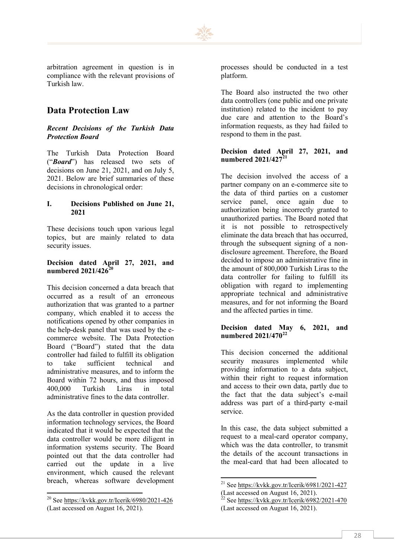

arbitration agreement in question is in compliance with the relevant provisions of Turkish law.

## **Data Protection Law**

#### *Recent Decisions of the Turkish Data Protection Board*

The Turkish Data Protection Board ("*Board*") has released two sets of decisions on June 21, 2021, and on July 5, 2021. Below are brief summaries of these decisions in chronological order:

#### **I. Decisions Published on June 21, 2021**

These decisions touch upon various legal topics, but are mainly related to data security issues.

#### **Decision dated April 27, 2021, and numbered 2021/426[20](#page-29-0)**

This decision concerned a data breach that occurred as a result of an erroneous authorization that was granted to a partner company, which enabled it to access the notifications opened by other companies in the help-desk panel that was used by the ecommerce website. The Data Protection Board ("Board") stated that the data controller had failed to fulfill its obligation to take sufficient technical and administrative measures, and to inform the Board within 72 hours, and thus imposed 400,000 Turkish Liras in total administrative fines to the data controller.

As the data controller in question provided information technology services, the Board indicated that it would be expected that the data controller would be more diligent in information systems security. The Board pointed out that the data controller had carried out the update in a live environment, which caused the relevant breach, whereas software development

processes should be conducted in a test platform.

The Board also instructed the two other data controllers (one public and one private institution) related to the incident to pay due care and attention to the Board's information requests, as they had failed to respond to them in the past.

#### **Decision dated April 27, 2021, and numbered 2021/427[21](#page-29-1)**

The decision involved the access of a partner company on an e-commerce site to the data of third parties on a customer service panel, once again due to authorization being incorrectly granted to unauthorized parties. The Board noted that it is not possible to retrospectively eliminate the data breach that has occurred, through the subsequent signing of a nondisclosure agreement. Therefore, the Board decided to impose an administrative fine in the amount of 800,000 Turkish Liras to the data controller for failing to fulfill its obligation with regard to implementing appropriate technical and administrative measures, and for not informing the Board and the affected parties in time.

#### **Decision dated May 6, 2021, and numbered 2021/470[22](#page-29-0)**

This decision concerned the additional security measures implemented while providing information to a data subject, within their right to request information and access to their own data, partly due to the fact that the data subject's e-mail address was part of a third-party e-mail service.

In this case, the data subject submitted a request to a meal-card operator company, which was the data controller, to transmit the details of the account transactions in the meal-card that had been allocated to

<span id="page-29-1"></span><span id="page-29-0"></span><sup>20</sup> See [https://kvkk.gov.tr/Icerik/6980/2021](https://kvkk.gov.tr/Icerik/6980/2021-426)-<sup>426</sup> (Last accessed on August 16, 2021).

<sup>&</sup>lt;sup>21</sup> See [https://kvkk.gov.tr/Icerik/6981/2021](https://kvkk.gov.tr/Icerik/6981/2021-427)-427 (Last accessed on August 16, 2021).

 $^{22}$  See [https://kvkk.gov.tr/Icerik/6982/2021](https://kvkk.gov.tr/Icerik/6982/2021-470)-470 (Last accessed on August 16, 2021).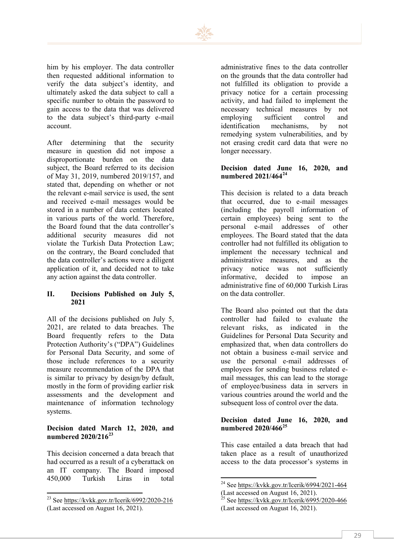

him by his employer. The data controller then requested additional information to verify the data subject's identity, and ultimately asked the data subject to call a specific number to obtain the password to gain access to the data that was delivered to the data subject's third-party e-mail account.

After determining that the security measure in question did not impose a disproportionate burden on the data subject, the Board referred to its decision of May 31, 2019, numbered 2019/157, and stated that, depending on whether or not the relevant e-mail service is used, the sent and received e-mail messages would be stored in a number of data centers located in various parts of the world. Therefore, the Board found that the data controller's additional security measures did not violate the Turkish Data Protection Law; on the contrary, the Board concluded that the data controller's actions were a diligent application of it, and decided not to take any action against the data controller.

#### **II. Decisions Published on July 5, 2021**

All of the decisions published on July 5, 2021, are related to data breaches. The Board frequently refers to the Data Protection Authority's ("DPA") Guidelines for Personal Data Security, and some of those include references to a security measure recommendation of the DPA that is similar to privacy by design/by default, mostly in the form of providing earlier risk assessments and the development and maintenance of information technology systems.

#### **Decision dated March 12, 2020, and numbered 2020/216[23](#page-30-0)**

This decision concerned a data breach that had occurred as a result of a cyberattack on an IT company. The Board imposed 450,000 Turkish Liras in total administrative fines to the data controller on the grounds that the data controller had not fulfilled its obligation to provide a privacy notice for a certain processing activity, and had failed to implement the necessary technical measures by not employing sufficient control and identification mechanisms, by not remedying system vulnerabilities, and by not erasing credit card data that were no longer necessary.

#### **Decision dated June 16, 2020, and numbered 2021/464[24](#page-30-1)**

This decision is related to a data breach that occurred, due to e-mail messages (including the payroll information of certain employees) being sent to the personal e-mail addresses of other employees. The Board stated that the data controller had not fulfilled its obligation to implement the necessary technical and administrative measures, and as the privacy notice was not sufficiently informative, decided to impose an administrative fine of 60,000 Turkish Liras on the data controller.

The Board also pointed out that the data controller had failed to evaluate the relevant risks, as indicated in the Guidelines for Personal Data Security and emphasized that, when data controllers do not obtain a business e-mail service and use the personal e-mail addresses of employees for sending business related email messages, this can lead to the storage of employee/business data in servers in various countries around the world and the subsequent loss of control over the data.

#### **Decision dated June 16, 2020, and numbered 2020/466[25](#page-30-0)**

This case entailed a data breach that had taken place as a result of unauthorized access to the data processor's systems in

<span id="page-30-1"></span><span id="page-30-0"></span><sup>&</sup>lt;sup>23</sup> See [https://kvkk.gov.tr/Icerik/6992/2020](https://kvkk.gov.tr/Icerik/6992/2020-216)-216 (Last accessed on August 16, 2021).

<sup>24</sup> See [https://kvkk.gov.tr/Icerik/6994/2021](https://kvkk.gov.tr/Icerik/6994/2021-464)-<sup>464</sup> (Last accessed on August 16, 2021).

<sup>25</sup> See https://kvkk[.gov.tr/Icerik/6995/2020](https://kvkk.gov.tr/Icerik/6995/2020-466)-466 (Last accessed on August 16, 2021).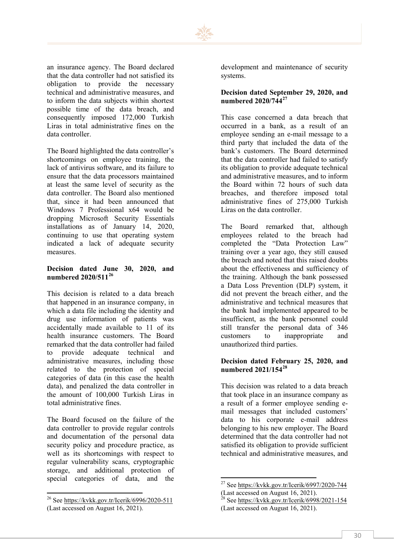

an insurance agency. The Board declared that the data controller had not satisfied its obligation to provide the necessary technical and administrative measures, and to inform the data subjects within shortest possible time of the data breach, and consequently imposed 172,000 Turkish Liras in total administrative fines on the data controller.

The Board highlighted the data controller's shortcomings on employee training, the lack of antivirus software, and its failure to ensure that the data processors maintained at least the same level of security as the data controller. The Board also mentioned that, since it had been announced that Windows 7 Professional x64 would be dropping Microsoft Security Essentials installations as of January 14, 2020, continuing to use that operating system indicated a lack of adequate security measures.

#### **Decision dated June 30, 2020, and numbered 2020/511[26](#page-31-0)**

This decision is related to a data breach that happened in an insurance company, in which a data file including the identity and drug use information of patients was accidentally made available to 11 of its health insurance customers. The Board remarked that the data controller had failed to provide adequate technical and administrative measures, including those related to the protection of special categories of data (in this case the health data), and penalized the data controller in the amount of 100,000 Turkish Liras in total administrative fines.

The Board focused on the failure of the data controller to provide regular controls and documentation of the personal data security policy and procedure practice, as well as its shortcomings with respect to regular vulnerability scans, cryptographic storage, and additional protection of special categories of data, and the development and maintenance of security systems.

#### **Decision dated September 29, 2020, and numbered 2020/744[27](#page-31-1)**

This case concerned a data breach that occurred in a bank, as a result of an employee sending an e-mail message to a third party that included the data of the bank's customers. The Board determined that the data controller had failed to satisfy its obligation to provide adequate technical and administrative measures, and to inform the Board within 72 hours of such data breaches, and therefore imposed total administrative fines of 275,000 Turkish Liras on the data controller.

The Board remarked that, although employees related to the breach had completed the "Data Protection Law" training over a year ago, they still caused the breach and noted that this raised doubts about the effectiveness and sufficiency of the training. Although the bank possessed a Data Loss Prevention (DLP) system, it did not prevent the breach either, and the administrative and technical measures that the bank had implemented appeared to be insufficient, as the bank personnel could still transfer the personal data of 346 customers to inappropriate and unauthorized third parties.

#### **Decision dated February 25, 2020, and numbered 2021/154[28](#page-31-0)**

This decision was related to a data breach that took place in an insurance company as a result of a former employee sending email messages that included customers' data to his corporate e-mail address belonging to his new employer. The Board determined that the data controller had not satisfied its obligation to provide sufficient technical and administrative measures, and

<span id="page-31-1"></span><span id="page-31-0"></span><sup>26</sup> See [https://kvkk.gov.tr/Icerik/6996/2020](https://kvkk.gov.tr/Icerik/6996/2020-511)-511 (Last accessed on August 16, 2021).

<sup>27</sup> See [https://kvkk.gov.tr/Icerik/6997/2020](https://kvkk.gov.tr/Icerik/6997/2020-744)-<sup>744</sup> (Last accessed on August 16, 2021).

<sup>28</sup> See [https://kvkk.gov.tr/Icerik/6998/2021](https://kvkk.gov.tr/Icerik/6998/2021-154)-154 (Last accessed on August 16, 2021).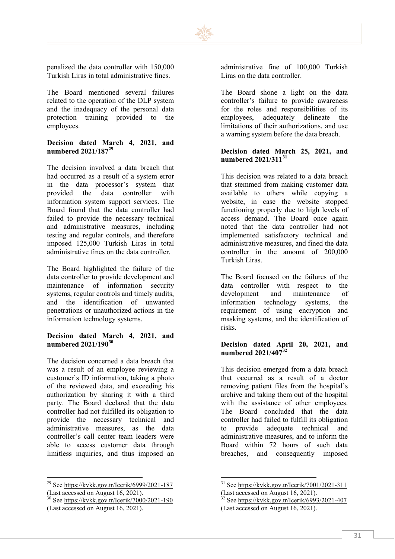

penalized the data controller with 150,000 Turkish Liras in total administrative fines.

The Board mentioned several failures related to the operation of the DLP system and the inadequacy of the personal data protection training provided to the employees.

#### **Decision dated March 4, 2021, and numbered 2021/187[29](#page-32-0)**

The decision involved a data breach that had occurred as a result of a system error in the data processor's system that provided the data controller with information system support services. The Board found that the data controller had failed to provide the necessary technical and administrative measures, including testing and regular controls, and therefore imposed 125,000 Turkish Liras in total administrative fines on the data controller.

The Board highlighted the failure of the data controller to provide development and maintenance of information security systems, regular controls and timely audits, and the identification of unwanted penetrations or unauthorized actions in the information technology systems.

#### **Decision dated March 4, 2021, and numbered 2021/190[30](#page-32-1)**

The decision concerned a data breach that was a result of an employee reviewing a customer`s ID information, taking a photo of the reviewed data, and exceeding his authorization by sharing it with a third party. The Board declared that the data controller had not fulfilled its obligation to provide the necessary technical and administrative measures, as the data controller's call center team leaders were able to access customer data through limitless inquiries, and thus imposed an administrative fine of 100,000 Turkish Liras on the data controller.

The Board shone a light on the data controller's failure to provide awareness for the roles and responsibilities of its employees, adequately delineate the limitations of their authorizations, and use a warning system before the data breach.

#### **Decision dated March 25, 2021, and numbered 2021/311[31](#page-32-0)**

This decision was related to a data breach that stemmed from making customer data available to others while copying a website, in case the website stopped functioning properly due to high levels of access demand. The Board once again noted that the data controller had not implemented satisfactory technical and administrative measures, and fined the data controller in the amount of 200,000 Turkish Liras.

The Board focused on the failures of the data controller with respect to the development and maintenance of information technology systems, the requirement of using encryption and masking systems, and the identification of risks.

#### **Decision dated April 20, 2021, and numbered 2021/407[32](#page-32-1)**

This decision emerged from a data breach that occurred as a result of a doctor removing patient files from the hospital's archive and taking them out of the hospital with the assistance of other employees. The Board concluded that the data controller had failed to fulfill its obligation to provide adequate technical and administrative measures, and to inform the Board within 72 hours of such data breaches, and consequently imposed

<span id="page-32-0"></span><sup>29</sup> See [https://kvkk.gov.tr/Icerik/6999/2021](https://kvkk.gov.tr/Icerik/6999/2021-187)-<sup>187</sup> (Last accessed on August 16, 2021).

<span id="page-32-1"></span> $30$  See [https://kvkk.gov.tr/Icerik/7000/2021](https://kvkk.gov.tr/Icerik/7000/2021-190)-190 (Last accessed on August 16, 2021).

<sup>31</sup> See [https://kvkk.gov.tr/Icerik/7001/2021](https://kvkk.gov.tr/Icerik/7001/2021-311)-<sup>311</sup>

<sup>(</sup>Last accessed on August 16, 2021).

 $32$  See [https://kvkk.gov.tr/Icerik/6993/2021](https://kvkk.gov.tr/Icerik/6993/2021-407)-407 (Last accessed on August 16, 2021).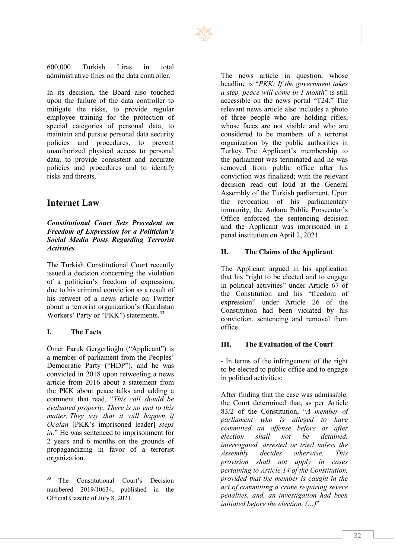

600,000 Turkish Liras in total administrative fines on the data controller.

In its decision, the Board also touched upon the failure of the data controller to mitigate the risks, to provide regular employee training for the protection of special categories of personal data, to maintain and pursue personal data security policies and procedures, to prevent unauthorized physical access to personal data, to provide consistent and accurate policies and procedures and to identify risks and threats.

### **Internet Law**

#### *Constitutional Court Sets Precedent on Freedom of Expression for a Politician's Social Media Posts Regarding Terrorist Activities*

The Turkish Constitutional Court recently issued a decision concerning the violation of a politician's freedom of expression, due to his criminal conviction as a result of his retweet of a news article on Twitter about a terrorist organization's (Kurdistan Workers' Party or "PKK") statements.<sup>[33](#page-33-0)</sup>

#### **I. The Facts**

Ömer Faruk Gergerlioğlu ("Applicant") is a member of parliament from the Peoples' Democratic Party ("HDP"), and he was convicted in 2018 upon retweeting a news article from 2016 about a statement from the PKK about peace talks and adding a comment that read, "*This call should be evaluated properly. There is no end to this matter. They say that it will happen if Ocalan* [PKK's imprisoned leader] *steps in.*" He was sentenced to imprisonment for 2 years and 6 months on the grounds of propagandizing in favor of a terrorist organization.

The news article in question, whose headline is "*PKK: If the government takes a step, peace will come in 1 month*" is still accessible on the news portal "T24." The relevant news article also includes a photo of three people who are holding rifles, whose faces are not visible and who are considered to be members of a terrorist organization by the public authorities in Turkey. The Applicant's membership to the parliament was terminated and he was removed from public office after his conviction was finalized; with the relevant decision read out loud at the General Assembly of the Turkish parliament. Upon the revocation of his parliamentary immunity, the Ankara Public Prosecutor's Office enforced the sentencing decision and the Applicant was imprisoned in a penal institution on April 2, 2021.

#### **II. The Claims of the Applicant**

The Applicant argued in his application that his "right to be elected and to engage in political activities" under Article 67 of the Constitution and his "freedom of expression" under Article 26 of the Constitution had been violated by his conviction, sentencing and removal from office.

#### **III. The Evaluation of the Court**

- In terms of the infringement of the right to be elected to public office and to engage in political activities:

After finding that the case was admissible, the Court determined that, as per Article 83/2 of the Constitution, "*A member of parliament who is alleged to have committed an offense before or after election shall not be detained, interrogated, arrested or tried unless the Assembly decides otherwise. This provision shall not apply in cases pertaining to Article 14 of the Constitution, provided that the member is caught in the act of committing a crime requiring severe penalties, and, an investigation had been initiated before the election. (…)*"

<span id="page-33-0"></span><sup>33</sup> The Constitutional Court's Decision numbered 2019/10634, published in the Official Gazette of July 8, 2021.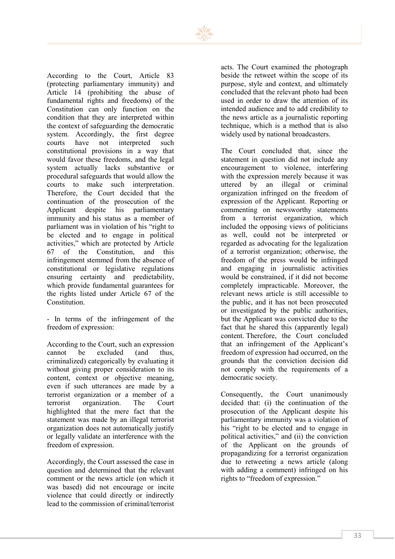

According to the Court, Article 83 (protecting parliamentary immunity) and Article 14 (prohibiting the abuse of fundamental rights and freedoms) of the Constitution can only function on the condition that they are interpreted within the context of safeguarding the democratic system. Accordingly, the first degree<br>courts have not interpreted such courts have not interpreted such constitutional provisions in a way that would favor these freedoms, and the legal system actually lacks substantive or procedural safeguards that would allow the courts to make such interpretation. Therefore, the Court decided that the continuation of the prosecution of the Applicant despite his parliamentary immunity and his status as a member of parliament was in violation of his "right to be elected and to engage in political activities," which are protected by Article 67 of the Constitution, and this infringement stemmed from the absence of constitutional or legislative regulations ensuring certainty and predictability, which provide fundamental guarantees for the rights listed under Article 67 of the Constitution.

- In terms of the infringement of the freedom of expression:

According to the Court, such an expression cannot be excluded (and thus, criminalized) categorically by evaluating it without giving proper consideration to its content, context or objective meaning, even if such utterances are made by a terrorist organization or a member of a terrorist organization. The Court highlighted that the mere fact that the statement was made by an illegal terrorist organization does not automatically justify or legally validate an interference with the freedom of expression.

Accordingly, the Court assessed the case in question and determined that the relevant comment or the news article (on which it was based) did not encourage or incite violence that could directly or indirectly lead to the commission of criminal/terrorist acts. The Court examined the photograph beside the retweet within the scope of its purpose, style and context, and ultimately concluded that the relevant photo had been used in order to draw the attention of its intended audience and to add credibility to the news article as a journalistic reporting technique, which is a method that is also widely used by national broadcasters.

The Court concluded that, since the statement in question did not include any encouragement to violence, interfering with the expression merely because it was uttered by an illegal or criminal organization infringed on the freedom of expression of the Applicant. Reporting or commenting on newsworthy statements from a terrorist organization, which included the opposing views of politicians as well, could not be interpreted or regarded as advocating for the legalization of a terrorist organization; otherwise, the freedom of the press would be infringed and engaging in journalistic activities would be constrained, if it did not become completely impracticable. Moreover, the relevant news article is still accessible to the public, and it has not been prosecuted or investigated by the public authorities, but the Applicant was convicted due to the fact that he shared this (apparently legal) content. Therefore, the Court concluded that an infringement of the Applicant's freedom of expression had occurred, on the grounds that the conviction decision did not comply with the requirements of a democratic society.

Consequently, the Court unanimously decided that: (i) the continuation of the prosecution of the Applicant despite his parliamentary immunity was a violation of his "right to be elected and to engage in political activities," and (ii) the conviction of the Applicant on the grounds of propagandizing for a terrorist organization due to retweeting a news article (along with adding a comment) infringed on his rights to "freedom of expression."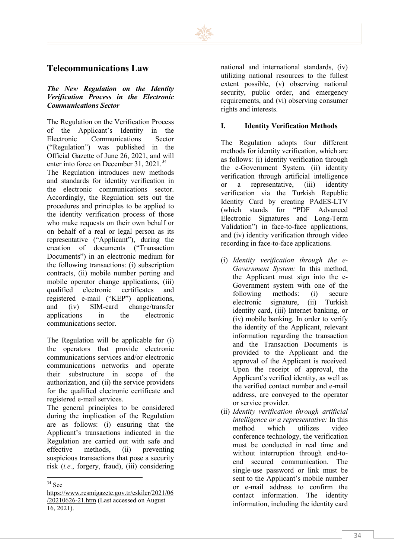## **Telecommunications Law**

#### *The New Regulation on the Identity Verification Process in the Electronic Communications Sector*

The Regulation on the Verification Process of the Applicant's Identity in the Electronic Communications Sector ("Regulation") was published in the Official Gazette of June 26, 2021, and will enter into force on December 31, 2021.<sup>[34](#page-35-0)</sup> The Regulation introduces new methods and standards for identity verification in the electronic communications sector. Accordingly, the Regulation sets out the procedures and principles to be applied to the identity verification process of those who make requests on their own behalf or on behalf of a real or legal person as its representative ("Applicant"), during the creation of documents ("Transaction Documents") in an electronic medium for the following transactions: (i) subscription contracts, (ii) mobile number porting and mobile operator change applications, (iii) qualified electronic certificates and registered e-mail ("KEP") applications, and (iv) SIM-card change/transfer applications in the electronic communications sector.

The Regulation will be applicable for (i) the operators that provide electronic communications services and/or electronic communications networks and operate their substructure in scope of the authorization, and (ii) the service providers for the qualified electronic certificate and registered e-mail services.

The general principles to be considered during the implication of the Regulation are as follows: (i) ensuring that the Applicant's transactions indicated in the Regulation are carried out with safe and effective methods, (ii) preventing suspicious transactions that pose a security risk (*i.e.*, forgery, fraud), (iii) considering national and international standards, (iv) utilizing national resources to the fullest extent possible, (v) observing national security, public order, and emergency requirements, and (vi) observing consumer rights and interests.

#### **I. Identity Verification Methods**

The Regulation adopts four different methods for identity verification, which are as follows: (i) identity verification through the e-Government System, (ii) identity verification through artificial intelligence or a representative, (iii) identity verification via the Turkish Republic Identity Card by creating PAdES-LTV (which stands for "PDF Advanced Electronic Signatures and Long-Term Validation") in face-to-face applications, and (iv) identity verification through video recording in face-to-face applications.

- (i) *Identity verification through the e-Government System:* In this method, the Applicant must sign into the e-Government system with one of the following methods: (i) secure electronic signature, (ii) Turkish identity card, (iii) Internet banking, or (iv) mobile banking. In order to verify the identity of the Applicant, relevant information regarding the transaction and the Transaction Documents is provided to the Applicant and the approval of the Applicant is received. Upon the receipt of approval, the Applicant's verified identity, as well as the verified contact number and e-mail address, are conveyed to the operator or service provider.
- (ii) *Identity verification through artificial intelligence or a representative:* In this method which utilizes video conference technology, the verification must be conducted in real time and without interruption through end-toend secured communication. The single-use password or link must be sent to the Applicant's mobile number or e-mail address to confirm the contact information. The identity information, including the identity card

<span id="page-35-0"></span><sup>34</sup> See

[https://www.resmigazete.gov.tr/eskiler/2021/06](https://www.resmigazete.gov.tr/eskiler/2021/06/20210626-21.htm) [/20210626](https://www.resmigazete.gov.tr/eskiler/2021/06/20210626-21.htm)-21.htm (Last accessed on August 16, 2021).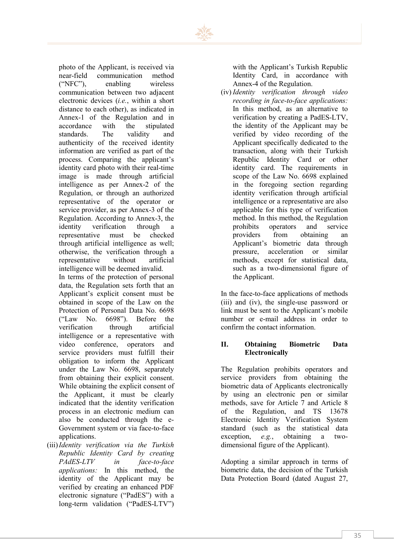

photo of the Applicant, is received via near-field communication method ("NFC"), enabling wireless communication between two adjacent electronic devices (*i.e.*, within a short distance to each other), as indicated in Annex-1 of the Regulation and in accordance with the stipulated standards. The validity and authenticity of the received identity information are verified as part of the process. Comparing the applicant's identity card photo with their real-time image is made through artificial intelligence as per Annex-2 of the Regulation, or through an authorized representative of the operator or service provider, as per Annex-3 of the Regulation. According to Annex-3, the identity verification through a representative must be checked through artificial intelligence as well; otherwise, the verification through a representative without artificial intelligence will be deemed invalid.

In terms of the protection of personal data, the Regulation sets forth that an Applicant's explicit consent must be obtained in scope of the Law on the Protection of Personal Data No. 6698 ("Law No. 6698"). Before the verification through artificial intelligence or a representative with video conference, operators and service providers must fulfill their obligation to inform the Applicant under the Law No. 6698, separately from obtaining their explicit consent. While obtaining the explicit consent of the Applicant, it must be clearly indicated that the identity verification process in an electronic medium can also be conducted through the e-Government system or via face-to-face applications.

(iii)*Identity verification via the Turkish Republic Identity Card by creating PAdES-LTV in face-to-face applications:* In this method, the identity of the Applicant may be verified by creating an enhanced PDF electronic signature ("PadES") with a long-term validation ("PadES-LTV") with the Applicant's Turkish Republic Identity Card, in accordance with Annex-4 of the Regulation.

(iv) *Identity verification through video recording in face-to-face applications:*  In this method, as an alternative to verification by creating a PadES-LTV, the identity of the Applicant may be verified by video recording of the Applicant specifically dedicated to the transaction, along with their Turkish Republic Identity Card or other identity card. The requirements in scope of the Law No. 6698 explained in the foregoing section regarding identity verification through artificial intelligence or a representative are also applicable for this type of verification method. In this method, the Regulation prohibits operators and service providers from obtaining an Applicant's biometric data through pressure, acceleration or similar methods, except for statistical data, such as a two-dimensional figure of the Applicant.

In the face-to-face applications of methods (iii) and (iv), the single-use password or link must be sent to the Applicant's mobile number or e-mail address in order to confirm the contact information.

#### **II. Obtaining Biometric Data Electronically**

The Regulation prohibits operators and service providers from obtaining the biometric data of Applicants electronically by using an electronic pen or similar methods, save for Article 7 and Article 8 of the Regulation, and TS 13678 Electronic Identity Verification System standard (such as the statistical data exception, *e.g.*, obtaining a twodimensional figure of the Applicant).

Adopting a similar approach in terms of biometric data, the decision of the Turkish Data Protection Board (dated August 27,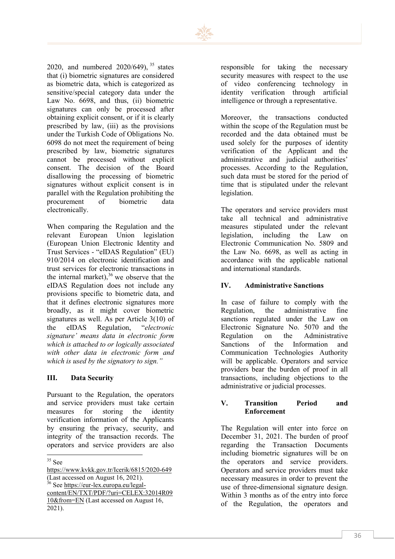

2020, and numbered  $2020/649$ ,  $35$  states that (i) biometric signatures are considered as biometric data, which is categorized as sensitive/special category data under the Law No. 6698, and thus, (ii) biometric signatures can only be processed after obtaining explicit consent, or if it is clearly prescribed by law, (iii) as the provisions under the Turkish Code of Obligations No. 6098 do not meet the requirement of being prescribed by law, biometric signatures cannot be processed without explicit consent. The decision of the Board disallowing the processing of biometric signatures without explicit consent is in parallel with the Regulation prohibiting the procurement of biometric data electronically.

When comparing the Regulation and the relevant European Union legislation (European Union Electronic Identity and Trust Services - "eIDAS Regulation" (EU) 910/2014 on electronic identification and trust services for electronic transactions in the internal market),  $36$  we observe that the eIDAS Regulation does not include any provisions specific to biometric data, and that it defines electronic signatures more broadly, as it might cover biometric signatures as well. As per Article 3(10) of the eIDAS Regulation, "*electronic signature' means data in electronic form which is attached to or logically associated with other data in electronic form and which is used by the signatory to sign."*

#### **III. Data Security**

Pursuant to the Regulation, the operators and service providers must take certain measures for storing the identity verification information of the Applicants by ensuring the privacy, security, and integrity of the transaction records. The operators and service providers are also responsible for taking the necessary security measures with respect to the use of video conferencing technology in identity verification through artificial intelligence or through a representative.

Moreover, the transactions conducted within the scope of the Regulation must be recorded and the data obtained must be used solely for the purposes of identity verification of the Applicant and the administrative and judicial authorities' processes. According to the Regulation, such data must be stored for the period of time that is stipulated under the relevant legislation.

The operators and service providers must take all technical and administrative measures stipulated under the relevant legislation, including the Law on Electronic Communication No. 5809 and the Law No. 6698, as well as acting in accordance with the applicable national and international standards.

#### **IV. Administrative Sanctions**

In case of failure to comply with the Regulation, the administrative fine sanctions regulated under the Law on Electronic Signature No. 5070 and the Regulation on the Administrative Sanctions of the Information and Communication Technologies Authority will be applicable. Operators and service providers bear the burden of proof in all transactions, including objections to the administrative or judicial processes.

#### **V. Transition Period and Enforcement**

The Regulation will enter into force on December 31, 2021. The burden of proof regarding the Transaction Documents including biometric signatures will be on the operators and service providers. Operators and service providers must take necessary measures in order to prevent the use of three-dimensional signature design. Within 3 months as of the entry into force of the Regulation, the operators and

<sup>35</sup> See

<span id="page-37-0"></span>[https://www.kvkk.gov.tr/Icerik/6815/2020](https://www.kvkk.gov.tr/Icerik/6815/2020-649)-649 (Last accessed on August 16, 2021).

<span id="page-37-1"></span><sup>&</sup>lt;sup>36</sup> See [https://eur-lex.europa.eu/legal-](https://eur-lex.europa.eu/legal-content/EN/TXT/PDF/?uri=CELEX:32014R0910&from=EN)

[content/EN/TXT/PDF/?uri=CELEX:32014R09](https://eur-lex.europa.eu/legal-content/EN/TXT/PDF/?uri=CELEX:32014R0910&from=EN) [10&from=EN](https://eur-lex.europa.eu/legal-content/EN/TXT/PDF/?uri=CELEX:32014R0910&from=EN) (Last accessed on August 16, 2021).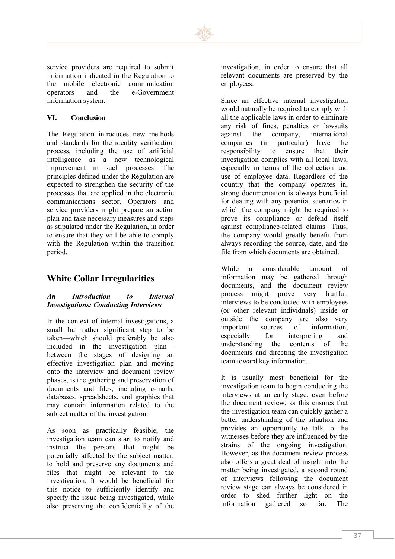

service providers are required to submit information indicated in the Regulation to the mobile electronic communication operators and the e-Government information system.

#### **VI. Conclusion**

The Regulation introduces new methods and standards for the identity verification process, including the use of artificial intelligence as a new technological improvement in such processes. The principles defined under the Regulation are expected to strengthen the security of the processes that are applied in the electronic communications sector. Operators and service providers might prepare an action plan and take necessary measures and steps as stipulated under the Regulation, in order to ensure that they will be able to comply with the Regulation within the transition period.

## **White Collar Irregularities**

#### *An Introduction to Internal Investigations: Conducting Interviews*

In the context of internal investigations, a small but rather significant step to be taken—which should preferably be also included in the investigation plan between the stages of designing an effective investigation plan and moving onto the interview and document review phases, is the gathering and preservation of documents and files, including e-mails, databases, spreadsheets, and graphics that may contain information related to the subject matter of the investigation.

As soon as practically feasible, the investigation team can start to notify and instruct the persons that might be potentially affected by the subject matter, to hold and preserve any documents and files that might be relevant to the investigation. It would be beneficial for this notice to sufficiently identify and specify the issue being investigated, while also preserving the confidentiality of the

investigation, in order to ensure that all relevant documents are preserved by the employees.

Since an effective internal investigation would naturally be required to comply with all the applicable laws in order to eliminate any risk of fines, penalties or lawsuits against the company, international companies (in particular) have the responsibility to ensure that their investigation complies with all local laws, especially in terms of the collection and use of employee data. Regardless of the country that the company operates in, strong documentation is always beneficial for dealing with any potential scenarios in which the company might be required to prove its compliance or defend itself against compliance-related claims. Thus, the company would greatly benefit from always recording the source, date, and the file from which documents are obtained.

While a considerable amount of information may be gathered through documents, and the document review process might prove very fruitful, interviews to be conducted with employees (or other relevant individuals) inside or outside the company are also very important sources of information, especially for interpreting and understanding the contents of the documents and directing the investigation team toward key information.

It is usually most beneficial for the investigation team to begin conducting the interviews at an early stage, even before the document review, as this ensures that the investigation team can quickly gather a better understanding of the situation and provides an opportunity to talk to the witnesses before they are influenced by the strains of the ongoing investigation. However, as the document review process also offers a great deal of insight into the matter being investigated, a second round of interviews following the document review stage can always be considered in order to shed further light on the information gathered so far. The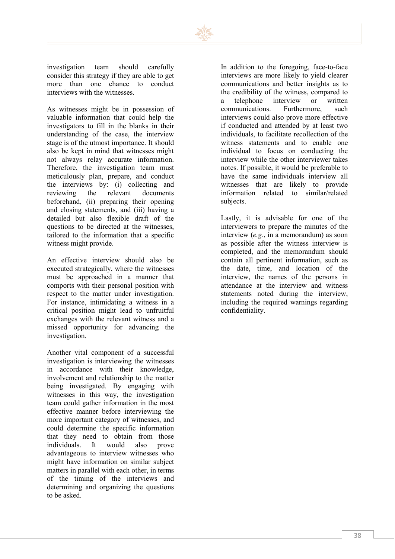

investigation team should carefully consider this strategy if they are able to get more than one chance to conduct interviews with the witnesses.

As witnesses might be in possession of valuable information that could help the investigators to fill in the blanks in their understanding of the case, the interview stage is of the utmost importance. It should also be kept in mind that witnesses might not always relay accurate information. Therefore, the investigation team must meticulously plan, prepare, and conduct the interviews by: (i) collecting and reviewing the relevant documents beforehand, (ii) preparing their opening and closing statements, and (iii) having a detailed but also flexible draft of the questions to be directed at the witnesses, tailored to the information that a specific witness might provide.

An effective interview should also be executed strategically, where the witnesses must be approached in a manner that comports with their personal position with respect to the matter under investigation. For instance, intimidating a witness in a critical position might lead to unfruitful exchanges with the relevant witness and a missed opportunity for advancing the investigation.

Another vital component of a successful investigation is interviewing the witnesses in accordance with their knowledge, involvement and relationship to the matter being investigated. By engaging with witnesses in this way, the investigation team could gather information in the most effective manner before interviewing the more important category of witnesses, and could determine the specific information that they need to obtain from those individuals. It would also prove advantageous to interview witnesses who might have information on similar subject matters in parallel with each other, in terms of the timing of the interviews and determining and organizing the questions to be asked.

In addition to the foregoing, face-to-face interviews are more likely to yield clearer communications and better insights as to the credibility of the witness, compared to a telephone interview or written communications. Furthermore, such interviews could also prove more effective if conducted and attended by at least two individuals, to facilitate recollection of the witness statements and to enable one individual to focus on conducting the interview while the other interviewer takes notes. If possible, it would be preferable to have the same individuals interview all witnesses that are likely to provide information related to similar/related subjects.

Lastly, it is advisable for one of the interviewers to prepare the minutes of the interview (*e.g.*, in a memorandum) as soon as possible after the witness interview is completed, and the memorandum should contain all pertinent information, such as the date, time, and location of the interview, the names of the persons in attendance at the interview and witness statements noted during the interview, including the required warnings regarding confidentiality.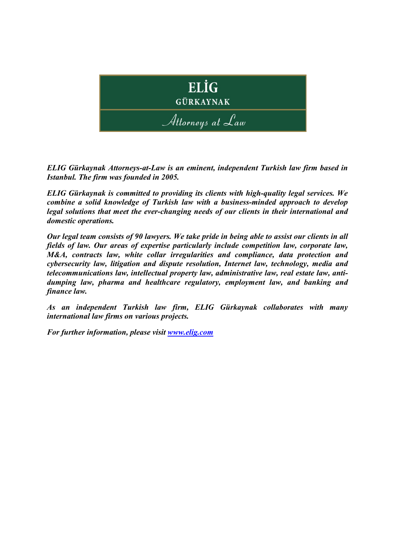

*ELIG Gürkaynak Attorneys-at-Law is an eminent, independent Turkish law firm based in Istanbul. The firm was founded in 2005.* 

*ELIG Gürkaynak is committed to providing its clients with high-quality legal services. We combine a solid knowledge of Turkish law with a business-minded approach to develop legal solutions that meet the ever-changing needs of our clients in their international and domestic operations.*

*Our legal team consists of 90 lawyers. We take pride in being able to assist our clients in all fields of law. Our areas of expertise particularly include competition law, corporate law, M&A, contracts law, white collar irregularities and compliance, data protection and cybersecurity law, litigation and dispute resolution, Internet law, technology, media and telecommunications law, intellectual property law, administrative law, real estate law, antidumping law, pharma and healthcare regulatory, employment law, and banking and finance law.*

*As an independent Turkish law firm, ELIG Gürkaynak collaborates with many international law firms on various projects.*

*For further information, please visit [www.elig.com](http://www.elig.com/)*